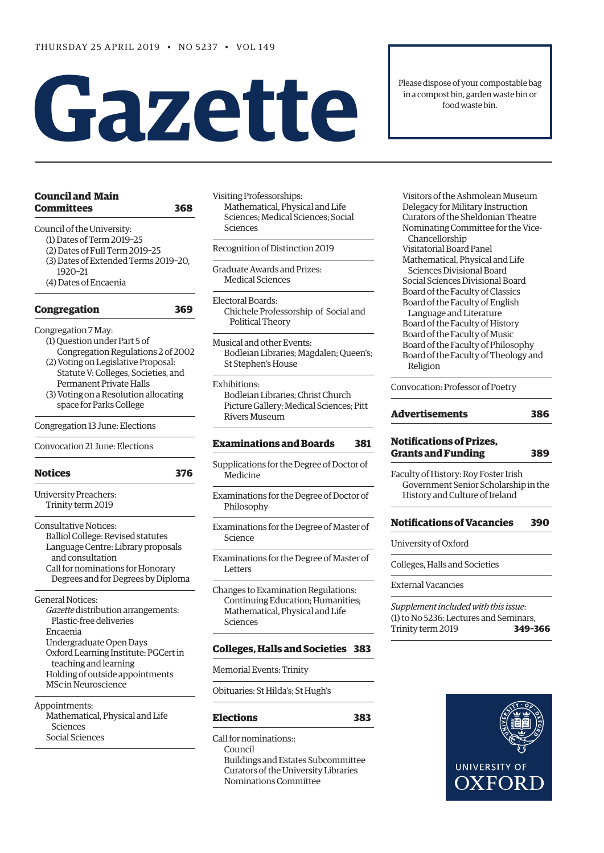# **Gazette**

| Committees                                                      | 368 |
|-----------------------------------------------------------------|-----|
| Council of the University:                                      |     |
| (1) Dates of Term 2019-25                                       |     |
| (2) Dates of Full Term 2019-25                                  |     |
| (3) Dates of Extended Terms 2019-20,                            |     |
| 1920-21                                                         |     |
| (4) Dates of Encaenia                                           |     |
| <b>Congregation</b>                                             | 369 |
| Congregation 7 May:                                             |     |
| (1) Question under Part 5 of                                    |     |
| Congregation Regulations 2 of 2002                              |     |
| (2) Voting on Legislative Proposal:                             |     |
| Statute V: Colleges, Societies, and                             |     |
| Permanent Private Halls                                         |     |
| (3) Voting on a Resolution allocating                           |     |
| space for Parks College                                         |     |
| Congregation 13 June: Elections                                 |     |
| Convocation 21 June: Elections                                  |     |
| <b>Notices</b>                                                  | 376 |
| <b>University Preachers:</b>                                    |     |
| Trinity term 2019                                               |     |
| <b>Consultative Notices:</b>                                    |     |
| Balliol College: Revised statutes                               |     |
|                                                                 |     |
|                                                                 |     |
| Language Centre: Library proposals<br>and consultation          |     |
| Call for nominations for Honorary                               |     |
| Degrees and for Degrees by Diploma                              |     |
| <b>General Notices:</b>                                         |     |
| Gazette distribution arrangements:                              |     |
| Plastic-free deliveries                                         |     |
| Encaenia                                                        |     |
|                                                                 |     |
| Undergraduate Open Days<br>Oxford Learning Institute: PGCert in |     |
| teaching and learning                                           |     |
| Holding of outside appointments                                 |     |
| <b>MSc in Neuroscience</b>                                      |     |
| Appointments:                                                   |     |
| Mathematical, Physical and Life                                 |     |
| Sciences                                                        |     |

[Visiting Professorships](#page-11-0): [Mathematical, Physical and Life](#page-11-0)  [Sciences](#page-11-0); [Medical Sciences;](#page-11-0) [Social](#page-12-0)  [Sciences](#page-12-0)

#### [Recognition of Distinction 2019](#page-12-0)

[Graduate Awards and Prizes](#page-12-0): [Medical Sciences](#page-12-0)

[Electoral Boards:](#page-12-0) Chichele Professorship of Social and Political Theory

[Musical and other Events](#page-12-0): [Bodleian Libraries](#page-12-0); [Magdalen; Queen's](#page-12-0); [St Stephen's House](#page-13-0) 

[Exhibitions:](#page-13-0) [Bodleian Libraries](#page-13-0); [Christ Church](#page-13-0)  [Picture Gallery](#page-13-0); [Medical Sciences; Pitt](#page-13-0)  [Rivers Museum](#page-13-0)

#### **[E](#page-14-0)[xaminations and Boards](#page-13-0) [381](#page-14-0)**

[Supplications for the Degree of Doctor of](#page-13-0)  [Medicine](#page-13-0)

[Examinations for the Degree of Doctor of](#page-13-0)  [Philosophy](#page-13-0)

[Examinations for the Degree of Master of](#page-14-0)  [Science](#page-14-0)

[Examinations for the Degree of Master of](#page-14-0)  [Letters](#page-14-0)

[Changes to Examination Regulations:](#page-15-0) [Continuing Education](#page-15-0); [Humanities;](#page-15-0) [Mathematical, Physical and Life](#page-15-0)  [Sciences](#page-15-0)

#### **[C](#page-16-0)[olleges, Halls and Societies](#page-15-0) [383](#page-16-0)**

[Memorial Events: Trinity](#page-15-0) 

[Obituaries](#page-15-0): [St Hilda's; St Hugh's](#page-15-0) 

#### **[E](#page-16-0)[lections](#page-15-0) [383](#page-16-0)**

Call for nominations:: Council Buildings and Estates Subcommittee Curators of the University Libraries Nominations Committee

Visitors of the Ashmolean Museum Delegacy for Military Instruction Curators of the Sheldonian Theatre Nominating Committee for the Vice- Chancellorship Visitatorial Board Panel Mathematical, Physical and Life Sciences Divisional Board Social Sciences Divisional Board Board of the Faculty of Classics Board of the Faculty of English Language and Literature Board of the Faculty of History Board of the Faculty of Music Board of the Faculty of Philosophy Board of the Faculty of Theology and Religion

Please dispose of your compostable bag in a compost bin, garden waste bin or food waste bin.

Convocation: Professor of Poetry

| Advertisements | 386 |  |
|----------------|-----|--|
|                |     |  |

#### **[Notifications of Prizes,](#page-23-0)  [G](#page-22-0)[rants and Funding](#page-23-0) [389](#page-22-0)**

[Faculty of History: Roy Foster Irish](#page-23-0)  [Government Senior Scholarship in the](#page-23-0)  [History and Culture of Ireland](#page-23-0) 

#### **[Notifications of Vacancies 390](#page-23-0)**

[University of Oxford](#page-23-0)

[Colleges, Halls and Societies](#page-23-0)

[External Vacancies](#page-23-0)

*Supplement included with this issue*: (1) to No 5236: Lectures and Seminars, Trinity term 2019 **349–366**

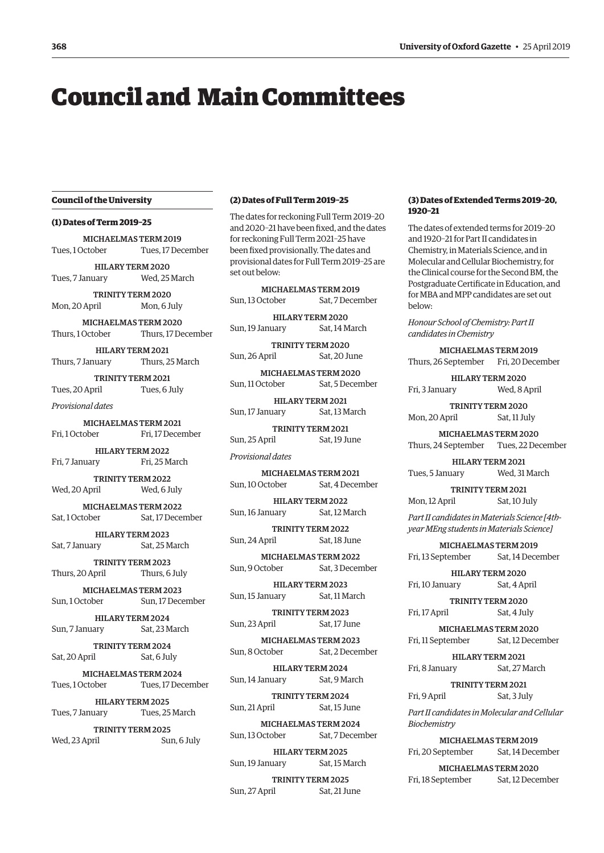## <span id="page-1-0"></span>Council and Main Committees

#### **Council of the University**

#### **(1) Dates of Term 2019–25**

MICHAELMAS TERM 2019 Tues, 1 October Tues, 17 December HILARY TERM 2020 Tues, 7 January Wed, 25 March TRINITY TERM 2020

Mon, 20 April Mon, 6 July

MICHAELMAS TERM 2020 Thurs, 1 October Thurs, 17 December

HILARY TERM 2021 Thurs, 7 January Thurs, 25 March

TRINITY TERM 2021 Tues, 20 April Tues, 6 July

*Provisional dates*

MICHAELMAS TERM 2021 Fri, 1 October Fri, 17 December

HILARY TERM 2022 Fri, 7 January Fri, 25 March

TRINITY TERM 2022 Wed, 20 April Wed, 6 July

MICHAELMAS TERM 2022 Sat, 1 October Sat, 17 December

HILARY TERM 2023 Sat, 7 January Sat, 25 March

TRINITY TERM 2023 Thurs, 20 April Thurs, 6 July

MICHAELMAS TERM 2023 Sun, 1 October Sun, 17 December

HILARY TERM 2024 Sun, 7 January Sat, 23 March

TRINITY TERM 2024 Sat, 20 April Sat, 6 July

MICHAELMAS TERM 2024 Tues, 1 October Tues, 17 December

HILARY TERM 2025 Tues, 7 January Tues, 25 March

TRINITY TERM 2025 Wed, 23 April Sun, 6 July

#### **(2) Dates of Full Term 2019–25**

The dates for reckoning Full Term 2019–20 and 2020–21 have been fixed, and the dates for reckoning Full Term 2021–25 have been fixed provisionally. The dates and provisional dates for Full Term 2019–25 are set out below:

MICHAELMAS TERM 2019 Sun, 13 October Sat, 7 December

HILARY TERM 2020 Sun, 19 January Sat, 14 March

TRINITY TERM 2020 Sun, 26 April Sat, 20 June

MICHAELMAS TERM 2020 Sun, 11 October Sat, 5 December

HILARY TERM 2021 Sun, 17 January Sat, 13 March

TRINITY TERM 2021 Sun, 25 April Sat, 19 June

*Provisional dates*

MICHAELMAS TERM 2021 Sun, 10 October Sat, 4 December

HILARY TERM 2022 Sun, 16 January Sat, 12 March

TRINITY TERM 2022 Sun, 24 April Sat, 18 June

MICHAELMAS TERM 2022 Sun, 9 October Sat, 3 December

HILARY TERM 2023 Sun, 15 January Sat, 11 March

TRINITY TERM 2023 Sun, 23 April Sat, 17 June

MICHAELMAS TERM 2023 Sun, 8 October Sat, 2 December

HILARY TERM 2024 Sun, 14 January Sat, 9 March

TRINITY TERM 2024 Sun, 21 April Sat, 15 June

MICHAELMAS TERM 2024 Sun, 13 October Sat, 7 December

HILARY TERM 2025 Sun, 19 January Sat, 15 March

TRINITY TERM 2025 Sun, 27 April Sat, 21 June

#### **(3) Dates of Extended Terms 2019–20, 1920–21**

The dates of extended terms for 2019–20 and 1920–21 for Part II candidates in Chemistry, in Materials Science, and in Molecular and Cellular Biochemistry, for the Clinical course for the Second BM, the Postgraduate Certificate in Education, and for MBA and MPP candidates are set out below:

*Honour School of Chemistry: Part II candidates in Chemistry* 

MICHAELMAS TERM 2019 Thurs, 26 September Fri, 20 December

HILARY TERM 2020 Fri, 3 January Wed, 8 April

TRINITY TERM 2020 Mon, 20 April Sat, 11 July

MICHAELMAS TERM 2020 Thurs, 24 September Tues, 22 December

HILARY TERM 2021 Tues, 5 January Wed, 31 March

TRINITY TERM 2021 Mon, 12 April Sat, 10 July

*Part II candidates in Materials Science [4thyear MEng students in Materials Science]* 

MICHAELMAS TERM 2019 Fri, 13 September Sat, 14 December

HILARY TERM 2020 Fri, 10 January Sat, 4 April

TRINITY TERM 2020 Fri, 17 April Sat, 4 July

MICHAELMAS TERM 2020 Fri, 11 September Sat, 12 December

HILARY TERM 2021 Fri, 8 January Sat, 27 March

TRINITY TERM 2021 Fri, 9 April Sat, 3 July

*Part II candidates in Molecular and Cellular Biochemistry* 

MICHAELMAS TERM 2019 Fri, 20 September Sat, 14 December

MICHAELMAS TERM 2020 Fri, 18 September Sat, 12 December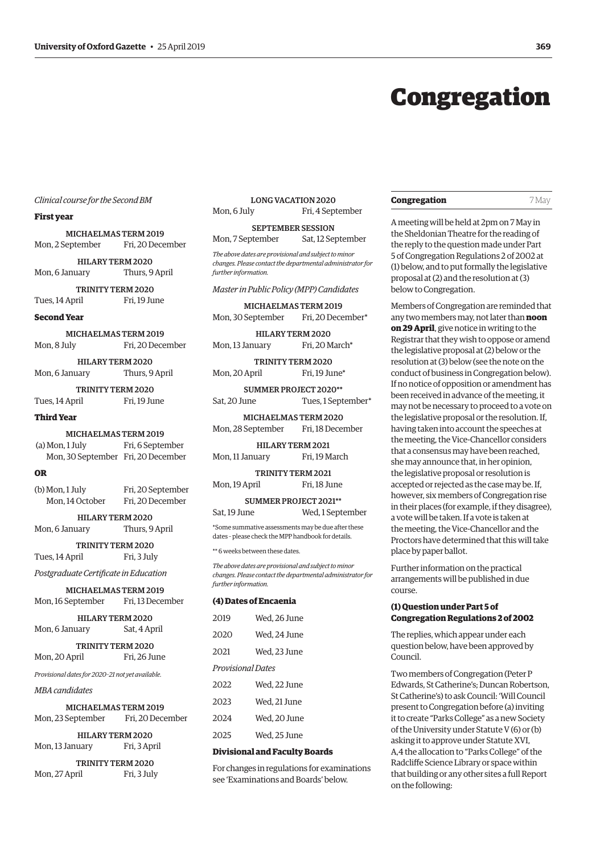## Congregation

#### <span id="page-2-0"></span>*Clinical course for the Second BM*

#### **First year**

MICHAELMAS TERM 2019 Mon, 2 September Fri, 20 December

HILARY TERM 2020 Mon, 6 January Thurs, 9 April

TRINITY TERM 2020 Tues, 14 April Fri, 19 June

**Second Year**

MICHAELMAS TERM 2019 Mon, 8 July Fri, 20 December

HILARY TERM 2020 Mon, 6 January Thurs, 9 April

TRINITY TERM 2020 Tues, 14 April Fri, 19 June

#### **Third Year**

MICHAELMAS TERM 2019 (a) Mon, 1 July Fri, 6 September

Mon, 30 September Fri, 20 December

#### **OR**

| (b) Mon, 1 July                     | Fri, 20 September |
|-------------------------------------|-------------------|
| Fri, 20 December<br>Mon. 14 October |                   |

HILARY TERM 2020 Mon, 6 January Thurs, 9 April

TRINITY TERM 2020 Tues, 14 April Fri, 3 July

*Postgraduate Certificate in Education* 

MICHAELMAS TERM 2019 Mon, 16 September Fri, 13 December

|                | <b>HILARY TERM 2020</b> |
|----------------|-------------------------|
| Mon, 6 January | Sat, 4 April            |

TRINITY TERM 2020 Mon, 20 April Fri, 26 June

*Provisional dates for 2020–21 not yet available.*

Mon, 27 April Fri, 3 July

#### *MBA candidates*

| <b>MICHAELMAS TERM 2019</b>                         |                  |  |
|-----------------------------------------------------|------------------|--|
| Mon, 23 September                                   | Fri, 20 December |  |
| HILARY TERM 2020<br>Fri, 3 April<br>Mon, 13 January |                  |  |
| <b>TRINITY TERM 2020</b>                            |                  |  |

LONG VACATION 2020 Mon, 6 July Fri, 4 September

#### SEPTEMBER SESSION Mon, 7 September Sat, 12 September

*The above dates are provisional and subject to minor* 

*changes. Please contact the departmental administrator for further information.*

#### *Master in Public Policy (MPP) Candidates*

MICHAELMAS TERM 2019 Mon, 30 September Fri, 20 December\*

HILARY TERM 2020 Mon, 13 January Fri, 20 March<sup>\*</sup>

TRINITY TERM 2020 Mon, 20 April Fri, 19 June\*

SUMMER PROJECT 2020\*\* Sat, 20 June Tues, 1 September\*

MICHAELMAS TERM 2020 Mon, 28 September Fri, 18 December

HILARY TERM 2021 Mon, 11 January Fri, 19 March

TRINITY TERM 2021 Mon, 19 April Fri, 18 June

SUMMER PROJECT 2021\*\* Sat, 19 June Wed, 1 September

\*Some summative assessments may be due after these dates – please check the MPP handbook for details.

\*\* 6 weeks between these dates.

*The above dates are provisional and subject to minor changes. Please contact the departmental administrator for further information.*

#### **(4) Dates of Encaenia**

| 2019              | Wed, 26 June |
|-------------------|--------------|
| 2020              | Wed, 24 June |
| 2021              | Wed, 23 June |
| Provisional Dates |              |
| 2022              | Wed, 22 June |
| 2023              | Wed, 21 June |
| 2024              | Wed, 20 June |
| 2025              | Wed, 25 June |
|                   |              |

#### **Divisional and Faculty Boards**

For changes in regulations for examinations see ['Examinations and Boards'](#page-15-0) below.

#### **Congregation** 7 May

A meeting will be held at 2pm on 7 May in the Sheldonian Theatre for the reading of the reply to the question made under Part 5 of Congregation Regulations 2 of 2002 at (1) below, and to put formally the legislative proposal at (2) and the resolution at (3) below to Congregation.

Members of Congregation are reminded that any two members may, not later than **noon on 29 April**, give notice in writing to the Registrar that they wish to oppose or amend the legislative proposal at (2) below or the resolution at (3) below (see the note on the conduct of business in Congregation below). If no notice of opposition or amendment has been received in advance of the meeting, it may not be necessary to proceed to a vote on the legislative proposal or the resolution. If, having taken into account the speeches at the meeting, the Vice-Chancellor considers that a consensus may have been reached, she may announce that, in her opinion, the legislative proposal or resolution is accepted or rejected as the case may be. If, however, six members of Congregation rise in their places (for example, if they disagree), a vote will be taken. If a vote is taken at the meeting, the Vice-Chancellor and the Proctors have determined that this will take place by paper ballot.

Further information on the practical arrangements will be published in due course.

#### **(1) Question under Part 5 of Congregation Regulations 2 of 2002**

The replies, which appear under each question below, have been approved by Council.

Two members of Congregation (Peter P Edwards, St Catherine's; Duncan Robertson, St Catherine's) to ask Council: 'Will Council present to Congregation before (a) inviting it to create "Parks College" as a new Society of the University under Statute V (6) or (b) asking it to approve under Statute XVI, A,4 the allocation to "Parks College" of the Radcliffe Science Library or space within that building or any other sites a full Report on the following: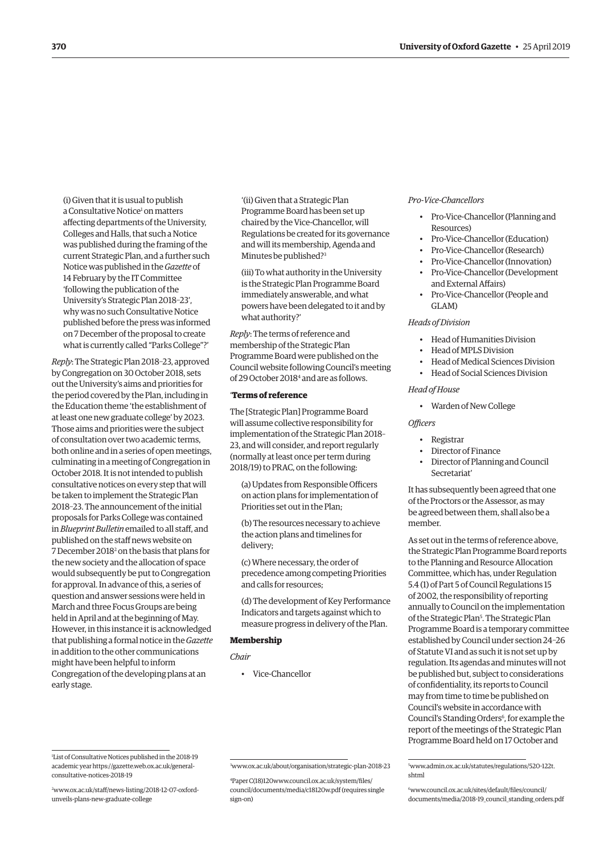<span id="page-3-0"></span>(i) Given that it is usual to publish a Consultative Notice<sup>1</sup> on matters affecting departments of the University, Colleges and Halls, that such a Notice was published during the framing of the current Strategic Plan, and a further such Notice was published in the *Gazette* of 14 February by the IT Committee 'following the publication of the University's Strategic Plan 2018–23', why was no such Consultative Notice published before the press was informed on 7 December of the proposal to create what is currently called "Parks College"?'

*Reply*: The Strategic Plan 2018–23, approved by Congregation on 30 October 2018, sets out the University's aims and priorities for the period covered by the Plan, including in the Education theme 'the establishment of at least one new graduate college' by 2023. Those aims and priorities were the subject of consultation over two academic terms, both online and in a series of open meetings, culminating in a meeting of Congregation in October 2018. It is not intended to publish consultative notices on every step that will be taken to implement the Strategic Plan 2018–23. The announcement of the initial proposals for Parks College was contained in *Blueprint Bulletin* emailed to all staff, and published on the staff news website on 7 December 2018<sup>2</sup> on the basis that plans for the new society and the allocation of space would subsequently be put to Congregation for approval. In advance of this, a series of question and answer sessions were held in March and three Focus Groups are being held in April and at the beginning of May. However, in this instance it is acknowledged that publishing a formal notice in the *Gazette* in addition to the other communications might have been helpful to inform Congregation of the developing plans at an early stage.

'(ii) Given that a Strategic Plan Programme Board has been set up chaired by the Vice-Chancellor, will Regulations be created for its governance and will its membership, Agenda and Minutes be published?<sup>3</sup>

(iii) To what authority in the University is the Strategic Plan Programme Board immediately answerable, and what powers have been delegated to it and by what authority?'

*Reply*: The terms of reference and membership of the Strategic Plan Programme Board were published on the Council website following Council's meeting of 29 October 2018<sup>4</sup> and are as follows.

#### '**Terms of reference**

The [Strategic Plan] Programme Board will assume collective responsibility for implementation of the Strategic Plan 2018– 23, and will consider, and report regularly (normally at least once per term during 2018/19) to PRAC, on the following:

(a) Updates from Responsible Officers on action plans for implementation of Priorities set out in the Plan;

(b) The resources necessary to achieve the action plans and timelines for delivery;

(c) Where necessary, the order of precedence among competing Priorities and calls for resources;

(d) The development of Key Performance Indicators and targets against which to measure progress in delivery of the Plan.

#### **Membership**

*Chair*

• Vice-Chancellor

#### *Pro-Vice-Chancellors*

- Pro-Vice-Chancellor (Planning and Resources)
- Pro-Vice-Chancellor (Education)
- Pro-Vice-Chancellor (Research)
- Pro-Vice-Chancellor (Innovation)
- Pro-Vice-Chancellor (Development and External Affairs)
- Pro-Vice-Chancellor (People and GLAM)

#### *Heads of Division*

- Head of Humanities Division
- Head of MPLS Division
- Head of Medical Sciences Division
- Head of Social Sciences Division

#### *Head of House*

• Warden of New College

#### *Officers*

- Registrar
- Director of Finance
- Director of Planning and Council Secretariat'

It has subsequently been agreed that one of the Proctors or the Assessor, as may be agreed between them, shall also be a member.

As set out in the terms of reference above, the Strategic Plan Programme Board reports to the Planning and Resource Allocation Committee, which has, under Regulation 5.4 (1) of Part 5 of Council Regulations 15 of 2002, the responsibility of reporting annually to Council on the implementation of the Strategic Plan<sup>5</sup>. The Strategic Plan Programme Board is a temporary committee established by Council under section 24–26 of Statute VI and as such it is not set up by regulation. Its agendas and minutes will not be published but, subject to considerations of confidentiality, its reports to Council may from time to time be published on Council's website in accordance with Council's Standing Orders<sup>6</sup>, for example the report of the meetings of the Strategic Plan Programme Board held on 17 October and

1 List of Consultative Notices published in the 2018-19 [academic year https://gazette.web.ox.ac.uk/general-](https://gazette.web.ox.ac.uk/general-consultative-notices-2018-19)

consultative-notices-2018-19

6 [www.council.ox.ac.uk/sites/default/files/council/](http://www.council.ox.ac.uk/sites/default/files/council/documents/media/2018-19_council_standing_orders.pdf) [documents/media/2018-19\\_council\\_standing\\_orders.pdf](http://www.council.ox.ac.uk/sites/default/files/council/documents/media/2018-19_council_standing_orders.pdf)

<sup>5</sup> [www.admin.ox.ac.uk/statutes/regulations/520-122t.](http://www.admin.ox.ac.uk/statutes/regulations/520-122t.shtml) [shtml](http://www.admin.ox.ac.uk/statutes/regulations/520-122t.shtml)

<sup>2</sup> [www.ox.ac.uk/staff/news-listing/2018-12-07-oxford](http://www.ox.ac.uk/staff/news-listing/2018-12-07-oxford-unveils-plans-new-graduate-college)[unveils-plans-new-graduate-college](http://www.ox.ac.uk/staff/news-listing/2018-12-07-oxford-unveils-plans-new-graduate-college)

<sup>3</sup> [www.ox.ac.uk/about/organisation/strategic-plan-2018-23](http://www.ox.ac.uk/about/organisation/strategic-plan-2018-23)

<sup>4</sup> Paper C(18)12[0www.council.ox.ac.uk/system/files/](http://www.council.ox.ac.uk/system/files/council/documents/media/c18120w.pdf) [council/documents/media/c18120w.pdf](http://www.council.ox.ac.uk/system/files/council/documents/media/c18120w.pdf) (requires single sign-on)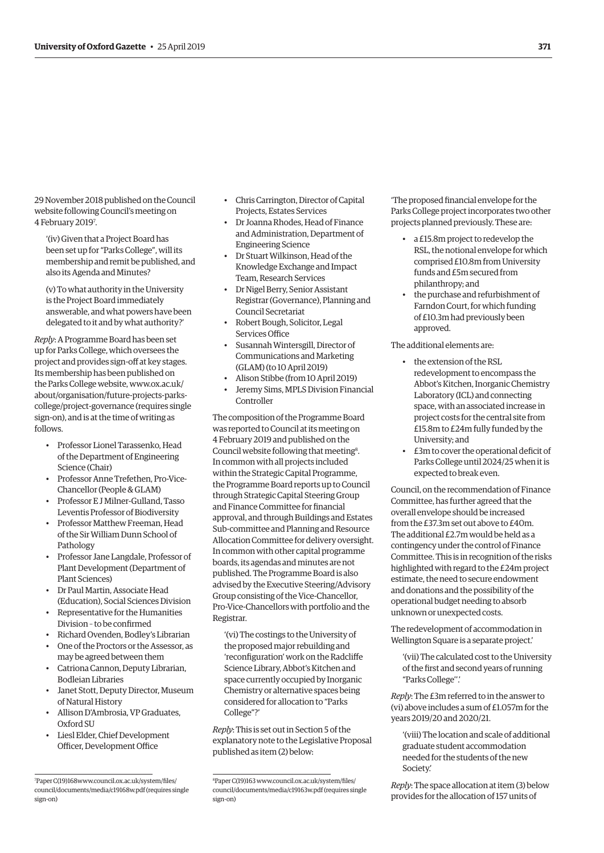29 November 2018 published on the Council website following Council's meeting on 4 February 20197 .

'(iv) Given that a Project Board has been set up for "Parks College", will its membership and remit be published, and also its Agenda and Minutes?

(v) To what authority in the University is the Project Board immediately answerable, and what powers have been delegated to it and by what authority?'

*Reply*: A Programme Board has been set up for Parks College, which oversees the project and provides sign-off at key stages. Its membership has been published on the Parks College website, www.ox.ac.uk/ about/organisation/future-projects-parks[college/project-governance \(requires single](www.ox.ac.uk/about/organisation/future-projects-parks-college/project-governance)  sign-on), and is at the time of writing as follows.

- Professor Lionel Tarassenko, Head of the Department of Engineering Science (Chair)
- Professor Anne Trefethen, Pro-Vice-Chancellor (People & GLAM)
- Professor E J Milner-Gulland, Tasso Leventis Professor of Biodiversity
- Professor Matthew Freeman, Head of the Sir William Dunn School of Pathology
- Professor Jane Langdale, Professor of Plant Development (Department of Plant Sciences)
- Dr Paul Martin, Associate Head (Education), Social Sciences Division
- Representative for the Humanities Division – to be confirmed
- Richard Ovenden, Bodley's Librarian
- One of the Proctors or the Assessor, as may be agreed between them
- Catriona Cannon, Deputy Librarian, Bodleian Libraries
- Janet Stott, Deputy Director, Museum of Natural History
- Allison D'Ambrosia, VP Graduates, Oxford SU
- Liesl Elder, Chief Development Officer, Development Office
- Chris Carrington, Director of Capital Projects, Estates Services
- Dr Joanna Rhodes, Head of Finance and Administration, Department of Engineering Science
- Dr Stuart Wilkinson, Head of the Knowledge Exchange and Impact Team, Research Services
- Dr Nigel Berry, Senior Assistant Registrar (Governance), Planning and Council Secretariat
- Robert Bough, Solicitor, Legal Services Office
- Susannah Wintersgill, Director of Communications and Marketing (GLAM) (to 10 April 2019)
- Alison Stibbe (from 10 April 2019)
- Jeremy Sims, MPLS Division Financial Controller

The composition of the Programme Board was reported to Council at its meeting on 4 February 2019 and published on the Council website following that meeting<sup>8</sup>. In common with all projects included within the Strategic Capital Programme, the Programme Board reports up to Council through Strategic Capital Steering Group and Finance Committee for financial approval, and through Buildings and Estates Sub-committee and Planning and Resource Allocation Committee for delivery oversight. In common with other capital programme boards, its agendas and minutes are not published. The Programme Board is also advised by the Executive Steering/Advisory Group consisting of the Vice-Chancellor, Pro-Vice-Chancellors with portfolio and the Registrar.

'(vi) The costings to the University of the proposed major rebuilding and 'reconfiguration' work on the Radcliffe Science Library, Abbot's Kitchen and space currently occupied by Inorganic Chemistry or alternative spaces being considered for allocation to "Parks College"?'

*Reply*: This is set out in Section 5 of the explanatory note to the Legislative Proposal published as item (2) below:

'The proposed financial envelope for the Parks College project incorporates two other projects planned previously. These are:

- a £15.8m project to redevelop the RSL, the notional envelope for which comprised £10.8m from University funds and £5m secured from philanthropy; and
- the purchase and refurbishment of Farndon Court, for which funding of £10.3m had previously been approved.

The additional elements are:

- the extension of the RSL redevelopment to encompass the Abbot's Kitchen, Inorganic Chemistry Laboratory (ICL) and connecting space, with an associated increase in project costs for the central site from £15.8m to £24m fully funded by the University; and
- £3m to cover the operational deficit of Parks College until 2024/25 when it is expected to break even.

Council, on the recommendation of Finance Committee, has further agreed that the overall envelope should be increased from the £37.3m set out above to £40m. The additional £2.7m would be held as a contingency under the control of Finance Committee. This is in recognition of the risks highlighted with regard to the £24m project estimate, the need to secure endowment and donations and the possibility of the operational budget needing to absorb unknown or unexpected costs.

The redevelopment of accommodation in Wellington Square is a separate project.'

'(vii) The calculated cost to the University of the first and second years of running "Parks College''.'

*Reply*: The £3m referred to in the answer to (vi) above includes a sum of £1.057m for the years 2019/20 and 2020/21.

'(viii) The location and scale of additional graduate student accommodation needed for the students of the new Society.'

*Reply*: The space allocation at item (3) below provides for the allocation of 157 units of

<sup>7</sup> Paper C(19)16[8www.council.ox.ac.uk/system/files/](http://www.council.ox.ac.uk/system/files/council/documents/media/c19168w.pdf) [council/documents/media/c19168w.pdf](http://www.council.ox.ac.uk/system/files/council/documents/media/c19168w.pdf) (requires single sign-on)

<sup>8</sup> Paper C(19)163 [www.council.ox.ac.uk/system/files/](http://www.council.ox.ac.uk/system/files/council/documents/media/c19163w.pdf) [council/documents/media/c19163w.pdf](http://www.council.ox.ac.uk/system/files/council/documents/media/c19163w.pdf) (requires single sign-on)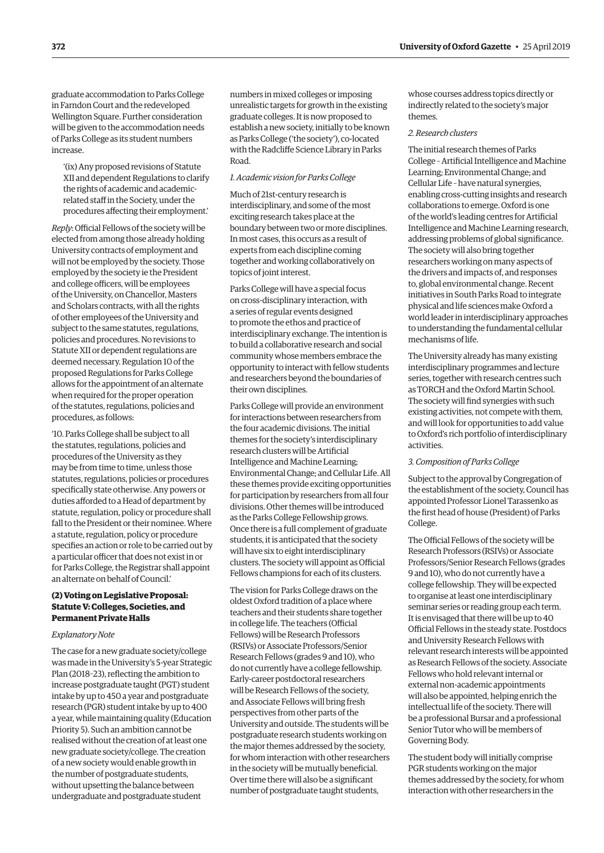<span id="page-5-0"></span>graduate accommodation to Parks College in Farndon Court and the redeveloped Wellington Square. Further consideration will be given to the accommodation needs of Parks College as its student numbers increase.

'(ix) Any proposed revisions of Statute XII and dependent Regulations to clarify the rights of academic and academicrelated staff in the Society, under the procedures affecting their employment.'

*Reply*: Official Fellows of the society will be elected from among those already holding University contracts of employment and will not be employed by the society. Those employed by the society ie the President and college officers, will be employees of the University, on Chancellor, Masters and Scholars contracts, with all the rights of other employees of the University and subject to the same statutes, regulations, policies and procedures. No revisions to Statute XII or dependent regulations are deemed necessary. Regulation 10 of the proposed Regulations for Parks College allows for the appointment of an alternate when required for the proper operation of the statutes, regulations, policies and procedures, as follows:

'10. Parks College shall be subject to all the statutes, regulations, policies and procedures of the University as they may be from time to time, unless those statutes, regulations, policies or procedures specifically state otherwise. Any powers or duties afforded to a Head of department by statute, regulation, policy or procedure shall fall to the President or their nominee. Where a statute, regulation, policy or procedure specifies an action or role to be carried out by a particular officer that does not exist in or for Parks College, the Registrar shall appoint an alternate on behalf of Council.'

#### **(2) Voting on Legislative Proposal: Statute V: Colleges, Societies, and Permanent Private Halls**

#### *Explanatory Note*

The case for a new graduate society/college was made in the University's 5-year Strategic Plan (2018–23), reflecting the ambition to increase postgraduate taught (PGT) student intake by up to 450 a year and postgraduate research (PGR) student intake by up to 400 a year, while maintaining quality (Education Priority 5). Such an ambition cannot be realised without the creation of at least one new graduate society/college. The creation of a new society would enable growth in the number of postgraduate students, without upsetting the balance between undergraduate and postgraduate student

numbers in mixed colleges or imposing unrealistic targets for growth in the existing graduate colleges. It is now proposed to establish a new society, initially to be known as Parks College ('the society'), co-located with the Radcliffe Science Library in Parks Road.

#### *1. Academic vision for Parks College*

Much of 21st-century research is interdisciplinary, and some of the most exciting research takes place at the boundary between two or more disciplines. In most cases, this occurs as a result of experts from each discipline coming together and working collaboratively on topics of joint interest.

Parks College will have a special focus on cross-disciplinary interaction, with a series of regular events designed to promote the ethos and practice of interdisciplinary exchange. The intention is to build a collaborative research and social community whose members embrace the opportunity to interact with fellow students and researchers beyond the boundaries of their own disciplines.

Parks College will provide an environment for interactions between researchers from the four academic divisions. The initial themes for the society's interdisciplinary research clusters will be Artificial Intelligence and Machine Learning; Environmental Change; and Cellular Life. All these themes provide exciting opportunities for participation by researchers from all four divisions. Other themes will be introduced as the Parks College Fellowship grows. Once there is a full complement of graduate students, it is anticipated that the society will have six to eight interdisciplinary clusters. The society will appoint as Official Fellows champions for each of its clusters.

The vision for Parks College draws on the oldest Oxford tradition of a place where teachers and their students share together in college life. The teachers (Official Fellows) will be Research Professors (RSIVs) or Associate Professors/Senior Research Fellows (grades 9 and 10), who do not currently have a college fellowship. Early-career postdoctoral researchers will be Research Fellows of the society, and Associate Fellows will bring fresh perspectives from other parts of the University and outside. The students will be postgraduate research students working on the major themes addressed by the society, for whom interaction with other researchers in the society will be mutually beneficial. Over time there will also be a significant number of postgraduate taught students,

whose courses address topics directly or indirectly related to the society's major themes.

#### *2. Research clusters*

The initial research themes of Parks College – Artificial Intelligence and Machine Learning; Environmental Change; and Cellular Life – have natural synergies, enabling cross-cutting insights and research collaborations to emerge. Oxford is one of the world's leading centres for Artificial Intelligence and Machine Learning research, addressing problems of global significance. The society will also bring together researchers working on many aspects of the drivers and impacts of, and responses to, global environmental change. Recent initiatives in South Parks Road to integrate physical and life sciences make Oxford a world leader in interdisciplinary approaches to understanding the fundamental cellular mechanisms of life.

The University already has many existing interdisciplinary programmes and lecture series, together with research centres such as TORCH and the Oxford Martin School. The society will find synergies with such existing activities, not compete with them, and will look for opportunities to add value to Oxford's rich portfolio of interdisciplinary activities.

#### *3. Composition of Parks College*

Subject to the approval by Congregation of the establishment of the society, Council has appointed Professor Lionel Tarassenko as the first head of house (President) of Parks College.

The Official Fellows of the society will be Research Professors (RSIVs) or Associate Professors/Senior Research Fellows (grades 9 and 10), who do not currently have a college fellowship. They will be expected to organise at least one interdisciplinary seminar series or reading group each term. It is envisaged that there will be up to 40 Official Fellows in the steady state. Postdocs and University Research Fellows with relevant research interests will be appointed as Research Fellows of the society. Associate Fellows who hold relevant internal or external non-academic appointments will also be appointed, helping enrich the intellectual life of the society. There will be a professional Bursar and a professional Senior Tutor who will be members of Governing Body.

The student body will initially comprise PGR students working on the major themes addressed by the society, for whom interaction with other researchers in the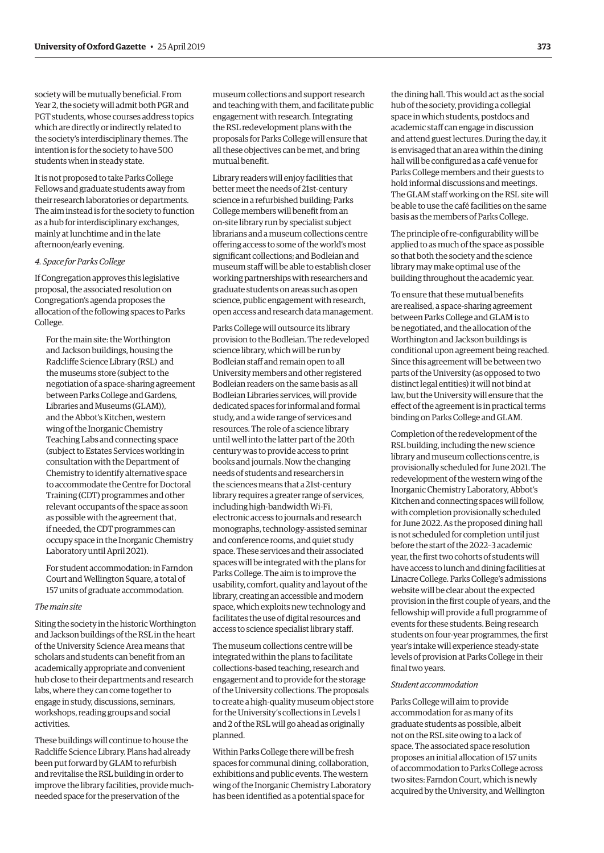society will be mutually beneficial. From Year 2, the society will admit both PGR and PGT students, whose courses address topics which are directly or indirectly related to the society's interdisciplinary themes. The intention is for the society to have 500 students when in steady state.

It is not proposed to take Parks College Fellows and graduate students away from their research laboratories or departments. The aim instead is for the society to function as a hub for interdisciplinary exchanges, mainly at lunchtime and in the late afternoon/early evening.

#### *4. Space for Parks College*

If Congregation approves this legislative proposal, the associated resolution on Congregation's agenda proposes the allocation of the following spaces to Parks College.

For the main site: the Worthington and Jackson buildings, housing the Radcliffe Science Library (RSL) and the museums store (subject to the negotiation of a space-sharing agreement between Parks College and Gardens, Libraries and Museums (GLAM)), and the Abbot's Kitchen, western wing of the Inorganic Chemistry Teaching Labs and connecting space (subject to Estates Services working in consultation with the Department of Chemistry to identify alternative space to accommodate the Centre for Doctoral Training (CDT) programmes and other relevant occupants of the space as soon as possible with the agreement that, if needed, the CDT programmes can occupy space in the Inorganic Chemistry Laboratory until April 2021).

For student accommodation: in Farndon Court and Wellington Square, a total of 157 units of graduate accommodation.

#### *The main site*

Siting the society in the historic Worthington and Jackson buildings of the RSL in the heart of the University Science Area means that scholars and students can benefit from an academically appropriate and convenient hub close to their departments and research labs, where they can come together to engage in study, discussions, seminars, workshops, reading groups and social activities.

These buildings will continue to house the Radcliffe Science Library. Plans had already been put forward by GLAM to refurbish and revitalise the RSL building in order to improve the library facilities, provide muchneeded space for the preservation of the

museum collections and support research and teaching with them, and facilitate public engagement with research. Integrating the RSL redevelopment plans with the proposals for Parks College will ensure that all these objectives can be met, and bring mutual benefit.

Library readers will enjoy facilities that better meet the needs of 21st-century science in a refurbished building; Parks College members will benefit from an on-site library run by specialist subject librarians and a museum collections centre offering access to some of the world's most significant collections; and Bodleian and museum staff will be able to establish closer working partnerships with researchers and graduate students on areas such as open science, public engagement with research, open access and research data management.

Parks College will outsource its library provision to the Bodleian. The redeveloped science library, which will be run by Bodleian staff and remain open to all University members and other registered Bodleian readers on the same basis as all Bodleian Libraries services, will provide dedicated spaces for informal and formal study, and a wide range of services and resources. The role of a science library until well into the latter part of the 20th century was to provide access to print books and journals. Now the changing needs of students and researchers in the sciences means that a 21st-century library requires a greater range of services, including high-bandwidth Wi-Fi, electronic access to journals and research monographs, technology-assisted seminar and conference rooms, and quiet study space. These services and their associated spaces will be integrated with the plans for Parks College. The aim is to improve the usability, comfort, quality and layout of the library, creating an accessible and modern space, which exploits new technology and facilitates the use of digital resources and access to science specialist library staff.

The museum collections centre will be integrated within the plans to facilitate collections-based teaching, research and engagement and to provide for the storage of the University collections. The proposals to create a high-quality museum object store for the University's collections in Levels 1 and 2 of the RSL will go ahead as originally planned.

Within Parks College there will be fresh spaces for communal dining, collaboration, exhibitions and public events. The western wing of the Inorganic Chemistry Laboratory has been identified as a potential space for

the dining hall. This would act as the social hub of the society, providing a collegial space in which students, postdocs and academic staff can engage in discussion and attend guest lectures. During the day, it is envisaged that an area within the dining hall will be configured as a café venue for Parks College members and their guests to hold informal discussions and meetings. The GLAM staff working on the RSL site will be able to use the café facilities on the same basis as the members of Parks College.

The principle of re-configurability will be applied to as much of the space as possible so that both the society and the science library may make optimal use of the building throughout the academic year.

To ensure that these mutual benefits are realised, a space-sharing agreement between Parks College and GLAM is to be negotiated, and the allocation of the Worthington and Jackson buildings is conditional upon agreement being reached. Since this agreement will be between two parts of the University (as opposed to two distinct legal entities) it will not bind at law, but the University will ensure that the effect of the agreement is in practical terms binding on Parks College and GLAM.

Completion of the redevelopment of the RSL building, including the new science library and museum collections centre, is provisionally scheduled for June 2021. The redevelopment of the western wing of the Inorganic Chemistry Laboratory, Abbot's Kitchen and connecting spaces will follow, with completion provisionally scheduled for June 2022. As the proposed dining hall is not scheduled for completion until just before the start of the 2022–3 academic year, the first two cohorts of students will have access to lunch and dining facilities at Linacre College. Parks College's admissions website will be clear about the expected provision in the first couple of years, and the fellowship will provide a full programme of events for these students. Being research students on four-year programmes, the first year's intake will experience steady-state levels of provision at Parks College in their final two years.

#### *Student accommodation*

Parks College will aim to provide accommodation for as many of its graduate students as possible, albeit not on the RSL site owing to a lack of space. The associated space resolution proposes an initial allocation of 157 units of accommodation to Parks College across two sites: Farndon Court, which is newly acquired by the University, and Wellington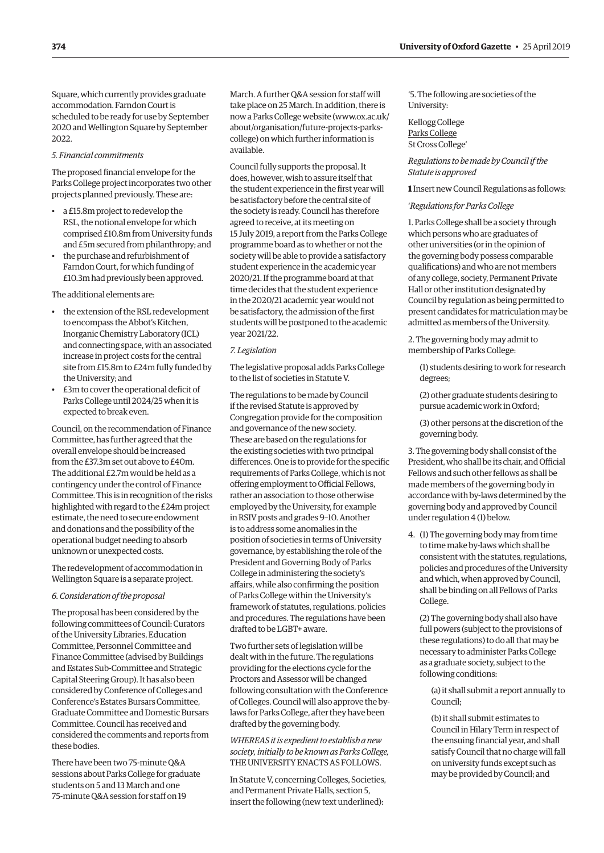Square, which currently provides graduate accommodation. Farndon Court is scheduled to be ready for use by September 2020 and Wellington Square by September 2022.

#### *5. Financial commitments*

The proposed financial envelope for the Parks College project incorporates two other projects planned previously. These are:

- a £15.8m project to redevelop the RSL, the notional envelope for which comprised £10.8m from University funds and £5m secured from philanthropy; and
- the purchase and refurbishment of Farndon Court, for which funding of £10.3m had previously been approved.

The additional elements are:

- the extension of the RSL redevelopment to encompass the Abbot's Kitchen, Inorganic Chemistry Laboratory (ICL) and connecting space, with an associated increase in project costs for the central site from £15.8m to £24m fully funded by the University; and
- £3m to cover the operational deficit of Parks College until 2024/25 when it is expected to break even.

Council, on the recommendation of Finance Committee, has further agreed that the overall envelope should be increased from the £37.3m set out above to £40m. The additional £2.7m would be held as a contingency under the control of Finance Committee. This is in recognition of the risks highlighted with regard to the £24m project estimate, the need to secure endowment and donations and the possibility of the operational budget needing to absorb unknown or unexpected costs.

The redevelopment of accommodation in Wellington Square is a separate project.

#### *6. Consideration of the proposal*

The proposal has been considered by the following committees of Council: Curators of the University Libraries, Education Committee, Personnel Committee and Finance Committee (advised by Buildings and Estates Sub-Committee and Strategic Capital Steering Group). It has also been considered by Conference of Colleges and Conference's Estates Bursars Committee, Graduate Committee and Domestic Bursars Committee. Council has received and considered the comments and reports from these bodies.

There have been two 75-minute Q&A sessions about Parks College for graduate students on 5 and 13 March and one 75-minute Q&A session for staff on 19

March. A further Q&A session for staff will take place on 25 March. In addition, there is [now a Parks College website \(www.ox.ac.uk/](www.ox.ac.uk/about/organisation/future-projects-parks-college) about/organisation/future-projects-parkscollege) on which further information is available.

Council fully supports the proposal. It does, however, wish to assure itself that the student experience in the first year will be satisfactory before the central site of the society is ready. Council has therefore agreed to receive, at its meeting on 15 July 2019, a report from the Parks College programme board as to whether or not the society will be able to provide a satisfactory student experience in the academic year 2020/21. If the programme board at that time decides that the student experience in the 2020/21 academic year would not be satisfactory, the admission of the first students will be postponed to the academic year 2021/22.

#### *7. Legislation*

The legislative proposal adds Parks College to the list of societies in Statute V.

The regulations to be made by Council if the revised Statute is approved by Congregation provide for the composition and governance of the new society. These are based on the regulations for the existing societies with two principal differences. One is to provide for the specific requirements of Parks College, which is not offering employment to Official Fellows, rather an association to those otherwise employed by the University, for example in RSIV posts and grades 9–10. Another is to address some anomalies in the position of societies in terms of University governance, by establishing the role of the President and Governing Body of Parks College in administering the society's affairs, while also confirming the position of Parks College within the University's framework of statutes, regulations, policies and procedures. The regulations have been drafted to be LGBT+ aware.

Two further sets of legislation will be dealt with in the future. The regulations providing for the elections cycle for the Proctors and Assessor will be changed following consultation with the Conference of Colleges. Council will also approve the bylaws for Parks College, after they have been drafted by the governing body.

*WHEREAS it is expedient to establish a new society, initially to be known as Parks College,*  THE UNIVERSITY ENACTS AS FOLLOWS.

In Statute V, concerning Colleges, Societies, and Permanent Private Halls, section 5, insert the following (new text underlined):

'5. The following are societies of the University:

Kellogg College Parks College St Cross College'

*Regulations to be made by Council if the Statute is approved*

**1** Insert new Council Regulations as follows:

'*Regulations for Parks College*

1. Parks College shall be a society through which persons who are graduates of other universities (or in the opinion of the governing body possess comparable qualifications) and who are not members of any college, society, Permanent Private Hall or other institution designated by Council by regulation as being permitted to present candidates for matriculation may be admitted as members of the University.

2. The governing body may admit to membership of Parks College:

(1) students desiring to work for research degrees;

(2) other graduate students desiring to pursue academic work in Oxford;

(3) other persons at the discretion of the governing body.

3. The governing body shall consist of the President, who shall be its chair, and Official Fellows and such other fellows as shall be made members of the governing body in accordance with by-laws determined by the governing body and approved by Council under regulation 4 (1) below.

4. (1) The governing body may from time to time make by-laws which shall be consistent with the statutes, regulations, policies and procedures of the University and which, when approved by Council, shall be binding on all Fellows of Parks College.

(2) The governing body shall also have full powers (subject to the provisions of these regulations) to do all that may be necessary to administer Parks College as a graduate society, subject to the following conditions:

(a) it shall submit a report annually to Council;

(b) it shall submit estimates to Council in Hilary Term in respect of the ensuing financial year, and shall satisfy Council that no charge will fall on university funds except such as may be provided by Council; and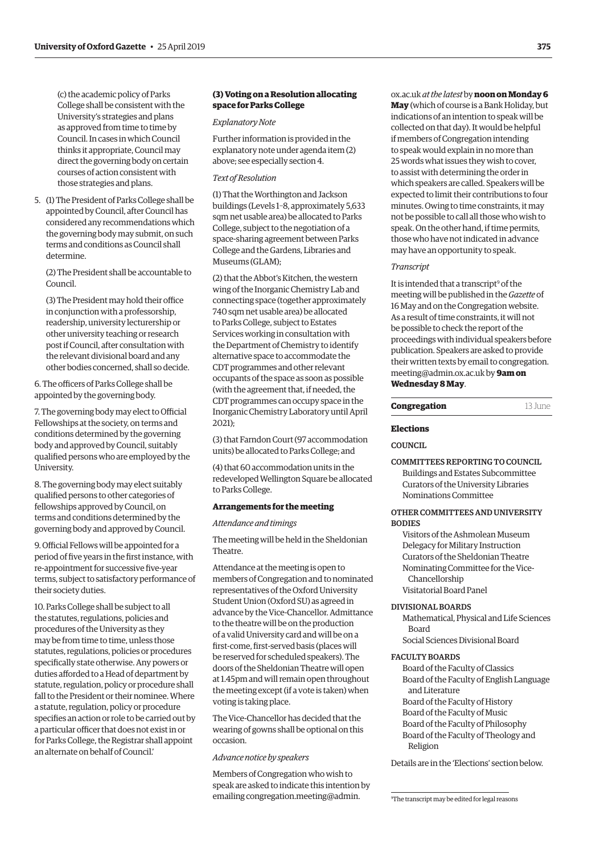<span id="page-8-0"></span>(c) the academic policy of Parks College shall be consistent with the University's strategies and plans as approved from time to time by Council. In cases in which Council thinks it appropriate, Council may direct the governing body on certain courses of action consistent with those strategies and plans.

5. (1) The President of Parks College shall be appointed by Council, after Council has considered any recommendations which the governing body may submit, on such terms and conditions as Council shall determine.

(2) The President shall be accountable to Council.

(3) The President may hold their office in conjunction with a professorship, readership, university lecturership or other university teaching or research post if Council, after consultation with the relevant divisional board and any other bodies concerned, shall so decide.

6. The officers of Parks College shall be appointed by the governing body.

7. The governing body may elect to Official Fellowships at the society, on terms and conditions determined by the governing body and approved by Council, suitably qualified persons who are employed by the University.

8. The governing body may elect suitably qualified persons to other categories of fellowships approved by Council, on terms and conditions determined by the governing body and approved by Council.

9. Official Fellows will be appointed for a period of five years in the first instance, with re-appointment for successive five-year terms, subject to satisfactory performance of their society duties.

10. Parks College shall be subject to all the statutes, regulations, policies and procedures of the University as they may be from time to time, unless those statutes, regulations, policies or procedures specifically state otherwise. Any powers or duties afforded to a Head of department by statute, regulation, policy or procedure shall fall to the President or their nominee. Where a statute, regulation, policy or procedure specifies an action or role to be carried out by a particular officer that does not exist in or for Parks College, the Registrar shall appoint an alternate on behalf of Council.'

#### **(3) Voting on a Resolution allocating space for Parks College**

#### *Explanatory Note*

Further information is provided in the explanatory note under agenda item (2) above; see especially section 4.

#### *Text of Resolution*

(1) That the Worthington and Jackson buildings (Levels 1–8, approximately 5,633 sqm net usable area) be allocated to Parks College, subject to the negotiation of a space-sharing agreement between Parks College and the Gardens, Libraries and Museums (GLAM);

(2) that the Abbot's Kitchen, the western wing of the Inorganic Chemistry Lab and connecting space (together approximately 740 sqm net usable area) be allocated to Parks College, subject to Estates Services working in consultation with the Department of Chemistry to identify alternative space to accommodate the CDT programmes and other relevant occupants of the space as soon as possible (with the agreement that, if needed, the CDT programmes can occupy space in the Inorganic Chemistry Laboratory until April 2021);

(3) that Farndon Court (97 accommodation units) be allocated to Parks College; and

(4) that 60 accommodation units in the redeveloped Wellington Square be allocated to Parks College.

#### **Arrangements for the meeting**

*Attendance and timings* 

The meeting will be held in the Sheldonian Theatre.

Attendance at the meeting is open to members of Congregation and to nominated representatives of the Oxford University Student Union (Oxford SU) as agreed in advance by the Vice-Chancellor. Admittance to the theatre will be on the production of a valid University card and will be on a first-come, first-served basis (places will be reserved for scheduled speakers). The doors of the Sheldonian Theatre will open at 1.45pm and will remain open throughout the meeting except (if a vote is taken) when voting is taking place.

The Vice-Chancellor has decided that the wearing of gowns shall be optional on this occasion.

#### *Advance notice by speakers*

Members of Congregation who wish to speak are asked to indicate this intention by emailing [congregation.meeting@admin.](mailto:congregation.meeting@admin.ox.ac.uk)

[ox.ac.uk](mailto:congregation.meeting@admin.ox.ac.uk) *at the latest* by **noon on Monday 6 May** (which of course is a Bank Holiday, but indications of an intention to speak will be collected on that day). It would be helpful if members of Congregation intending to speak would explain in no more than 25 words what issues they wish to cover, to assist with determining the order in which speakers are called. Speakers will be expected to limit their contributions to four minutes. Owing to time constraints, it may not be possible to call all those who wish to speak. On the other hand, if time permits, those who have not indicated in advance may have an opportunity to speak.

#### *Transcript*

It is intended that a transcript<sup>9</sup> of the meeting will be published in the *Gazette* of 16 May and on the Congregation website. As a result of time constraints, it will not be possible to check the report of the proceedings with individual speakers before publication. Speakers are asked to provide [their written texts by email to congregation.](mailto:congregation.meeting@admin.ox.ac.uk)  meeting@admin.ox.ac.uk by **9am on Wednesday 8 May**.

| Congregation | 13 June |
|--------------|---------|
|--------------|---------|

#### **Elections**

#### **COUNCIL**

COMMITTEES REPORTING TO COUNCIL Buildings and Estates Subcommittee Curators of the University Libraries Nominations Committee

#### OTHER COMMITTEES AND UNIVERSITY **BODIES**

Visitors of the Ashmolean Museum Delegacy for Military Instruction Curators of the Sheldonian Theatre Nominating Committee for the Vice-Chancellorship Visitatorial Board Panel

#### DIVISIONAL BOARDS

Mathematical, Physical and Life Sciences Board

Social Sciences Divisional Board

#### FACULTY BOARDS

Board of the Faculty of Classics Board of the Faculty of English Language and Literature Board of the Faculty of History Board of the Faculty of Music Board of the Faculty of Philosophy Board of the Faculty of Theology and Religion

Details are in the '[Elections](#page-16-0)' section below.

9 The transcript may be edited for legal reasons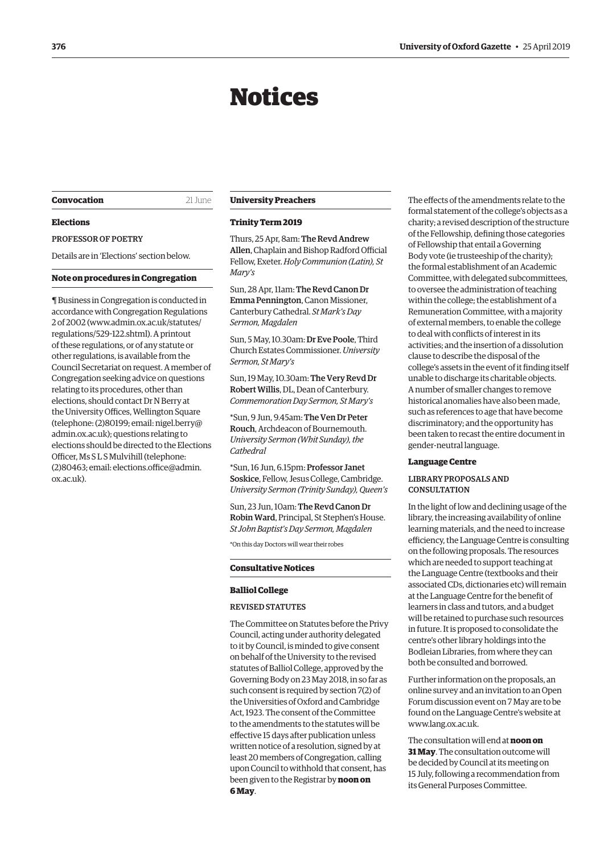## Notices

#### <span id="page-9-0"></span>**Convocation** 21 June

#### **Elections**

PROFESSOR OF POETRY

Details are in '[Elections'](#page-18-0) section below.

#### **Note on procedures in Congregation**

¶ Business in Congregation is conducted in accordance with Congregation Regulations 2 of 2002 [\(www.admin.ox.ac.uk/statutes/](http://www.admin.ox.ac.uk/statutes/regulations/529-122.shtml) [regulations/529-122.shtml\). A](http://www.admin.ox.ac.uk/statutes/regulations/529-122.shtml) printout of these regulations, or of any statute or other regulations, is available from the Council Secretariat on request. A member of Congregation seeking advice on questions relating to its procedures, other than elections, should contact Dr N Berry at the University Offices, Wellington Square [\(telephone: \(2\)80199; email: nigel.berry@](mailto:nigel.berry@admin.ox.ac.uk) admin.ox.ac.uk); questions relating to elections should be directed to the Elections Officer, Ms S L S Mulvihill (telephone: [\(2\)80463; email: elections.office@admin.](mailto:elections.office@admin.ox.ac.uk) ox.ac.uk).

#### **University Preachers**

#### **Trinity Term 2019**

Thurs, 25 Apr, 8am: The Revd Andrew Allen, Chaplain and Bishop Radford Official Fellow, Exeter. *Holy Communion (Latin), St Mary's*

Sun, 28 Apr, 11am: The Revd Canon Dr Emma Pennington, Canon Missioner, Canterbury Cathedral. *St Mark's Day Sermon, Magdalen*

Sun, 5 May, 10.30am: Dr Eve Poole, Third Church Estates Commissioner. *University Sermon, St Mary's*

Sun, 19 May, 10.30am: The Very Revd Dr Robert Willis, DL, Dean of Canterbury. *Commemoration Day Sermon, St Mary's*

\*Sun, 9 Jun, 9.45am: The Ven Dr Peter Rouch, Archdeacon of Bournemouth. *University Sermon (Whit Sunday), the Cathedral*

\*Sun, 16 Jun, 6.15pm: Professor Janet Soskice, Fellow, Jesus College, Cambridge. *University Sermon (Trinity Sunday), Queen's*

Sun, 23 Jun, 10am: The Revd Canon Dr Robin Ward, Principal, St Stephen's House. *St John Baptist's Day Sermon, Magdalen*

\*On this day Doctors will wear their robes

#### **Consultative Notices**

#### **Balliol College**

#### REVISED STATUTES

The Committee on Statutes before the Privy Council, acting under authority delegated to it by Council, is minded to give consent on behalf of the University to the revised statutes of Balliol College, approved by the Governing Body on 23 May 2018, in so far as such consent is required by section 7(2) of the Universities of Oxford and Cambridge Act, 1923. The consent of the Committee to the amendments to the statutes will be effective 15 days after publication unless written notice of a resolution, signed by at least 20 members of Congregation, calling upon Council to withhold that consent, has been given to the Registrar by **noon on 6 May**.

The effects of the amendments relate to the formal statement of the college's objects as a charity; a revised description of the structure of the Fellowship, defining those categories of Fellowship that entail a Governing Body vote (ie trusteeship of the charity); the formal establishment of an Academic Committee, with delegated subcommittees, to oversee the administration of teaching within the college; the establishment of a Remuneration Committee, with a majority of external members, to enable the college to deal with conflicts of interest in its activities; and the insertion of a dissolution clause to describe the disposal of the college's assets in the event of it finding itself unable to discharge its charitable objects. A number of smaller changes to remove historical anomalies have also been made, such as references to age that have become discriminatory; and the opportunity has been taken to recast the entire document in gender-neutral language.

#### **Language Centre**

#### LIBRARY PROPOSALS AND **CONSULTATION**

In the light of low and declining usage of the library, the increasing availability of online learning materials, and the need to increase efficiency, the Language Centre is consulting on the following proposals. The resources which are needed to support teaching at the Language Centre (textbooks and their associated CDs, dictionaries etc) will remain at the Language Centre for the benefit of learners in class and tutors, and a budget will be retained to purchase such resources in future. It is proposed to consolidate the centre's other library holdings into the Bodleian Libraries, from where they can both be consulted and borrowed.

Further information on the proposals, an online survey and an invitation to an Open Forum discussion event on 7 May are to be found on the Language Centre's website at [www.lang.ox.ac.uk](http://www.lang.ox.ac.uk).

The consultation will end at **noon on 31 May**. The consultation outcome will be decided by Council at its meeting on 15 July, following a recommendation from its General Purposes Committee.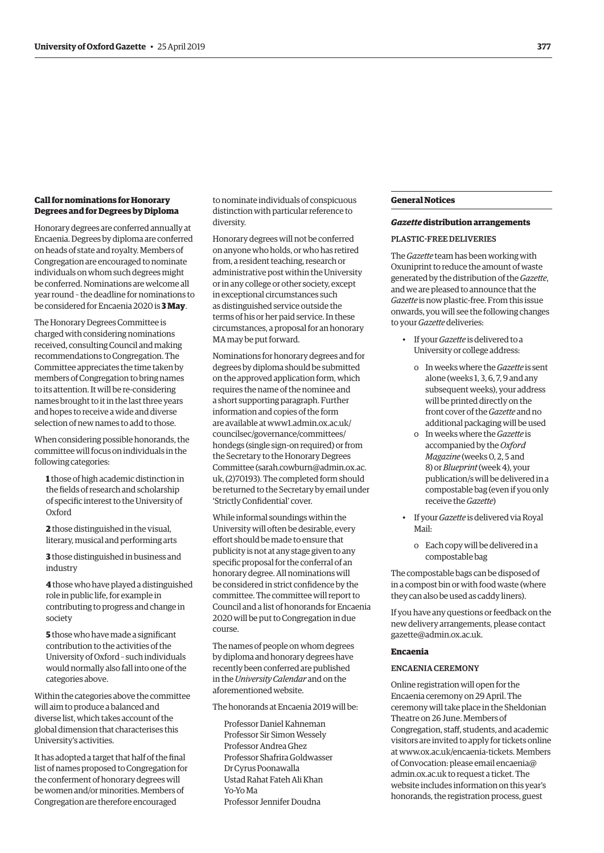#### <span id="page-10-0"></span>**Call for nominations for Honorary Degrees and for Degrees by Diploma**

Honorary degrees are conferred annually at Encaenia. Degrees by diploma are conferred on heads of state and royalty. Members of Congregation are encouraged to nominate individuals on whom such degrees might be conferred. Nominations are welcome all year round – the deadline for nominations to be considered for Encaenia 2020 is **3 May**.

The Honorary Degrees Committee is charged with considering nominations received, consulting Council and making recommendations to Congregation. The Committee appreciates the time taken by members of Congregation to bring names to its attention. It will be re-considering names brought to it in the last three years and hopes to receive a wide and diverse selection of new names to add to those.

When considering possible honorands, the committee will focus on individuals in the following categories:

- **1** those of high academic distinction in the fields of research and scholarship of specific interest to the University of Oxford
- **2** those distinguished in the visual, literary, musical and performing arts
- **3** those distinguished in business and industry

**4** those who have played a distinguished role in public life, for example in contributing to progress and change in society

**5** those who have made a significant contribution to the activities of the University of Oxford – such individuals would normally also fall into one of the categories above.

Within the categories above the committee will aim to produce a balanced and diverse list, which takes account of the global dimension that characterises this University's activities.

It has adopted a target that half of the final list of names proposed to Congregation for the conferment of honorary degrees will be women and/or minorities. Members of Congregation are therefore encouraged

to nominate individuals of conspicuous distinction with particular reference to diversity.

Honorary degrees will not be conferred on anyone who holds, or who has retired from, a resident teaching, research or administrative post within the University or in any college or other society, except in exceptional circumstances such as distinguished service outside the terms of his or her paid service. In these circumstances, a proposal for an honorary MA may be put forward.

Nominations for honorary degrees and for degrees by diploma should be submitted on the approved application form, which requires the name of the nominee and a short supporting paragraph. Further information and copies of the form are available at [www1.admin.ox.ac.uk/](http://www1.admin.ox.ac.uk/councilsec/governance/committees/hondegs) [councilsec/governance/committees/](http://www1.admin.ox.ac.uk/councilsec/governance/committees/hondegs) [hondegs](http://www1.admin.ox.ac.uk/councilsec/governance/committees/hondegs) (single sign-on required) or from the Secretary to the Honorary Degrees Committee [\(sarah.cowburn@admin.ox.ac.](mailto:sarah.cowburn@admin.ox.ac.uk) [uk](mailto:(sarah.cowburn@admin.ox.ac.uk), (2)70193). The completed form should be returned to the Secretary by email under 'Strictly Confidential' cover.

While informal soundings within the University will often be desirable, every effort should be made to ensure that publicity is not at any stage given to any specific proposal for the conferral of an honorary degree. All nominations will be considered in strict confidence by the committee. The committee will report to Council and a list of honorands for Encaenia 2020 will be put to Congregation in due course.

The names of people on whom degrees by diploma and honorary degrees have recently been conferred are published in the *University Calendar* and on the aforementioned website.

The honorands at Encaenia 2019 will be:

Professor Daniel Kahneman Professor Sir Simon Wessely Professor Andrea Ghez Professor Shafrira Goldwasser Dr Cyrus Poonawalla Ustad Rahat Fateh Ali Khan Yo-Yo Ma Professor Jennifer Doudna

#### **General Notices**

#### *Gazette* **distribution arrangements**

#### PLASTIC-FREE DELIVERIES

The *Gazette* team has been working with Oxuniprint to reduce the amount of waste generated by the distribution of the *Gazette*, and we are pleased to announce that the *Gazette* is now plastic-free. From this issue onwards, you will see the following changes to your *Gazette* deliveries:

- If your *Gazette* is delivered to a University or college address:
	- o In weeks where the *Gazette* is sent alone (weeks 1, 3, 6, 7, 9 and any subsequent weeks), your address will be printed directly on the front cover of the *Gazette* and no additional packaging will be used
	- o In weeks where the *Gazette* is accompanied by the *Oxford Magazine* (weeks 0, 2, 5 and 8) or *Blueprint* (week 4), your publication/s will be delivered in a compostable bag (even if you only receive the *Gazette*)
- If your *Gazette* is delivered via Royal Mail:
	- o Each copy will be delivered in a compostable bag

The compostable bags can be disposed of in a compost bin or with food waste (where they can also be used as caddy liners).

If you have any questions or feedback on the new delivery arrangements, please contact [gazette@admin.ox.ac.uk](mailto:gazette@admin.ox.ac.uk).

#### **Encaenia**

#### ENCAENIA CEREMONY

Online registration will open for the Encaenia ceremony on 29 April. The ceremony will take place in the Sheldonian Theatre on 26 June. Members of Congregation, staff, students, and academic visitors are invited to apply for tickets online at [www.ox.ac.uk/encaenia-tickets.](http://www.ox.ac.uk/encaenia-tickets) Members of Convocation: please email [encaenia@](mailto:encaenia@admin.ox.ac.uk) [admin.ox.ac.uk](mailto:encaenia@admin.ox.ac.uk) to request a ticket. The website includes information on this year's honorands, the registration process, guest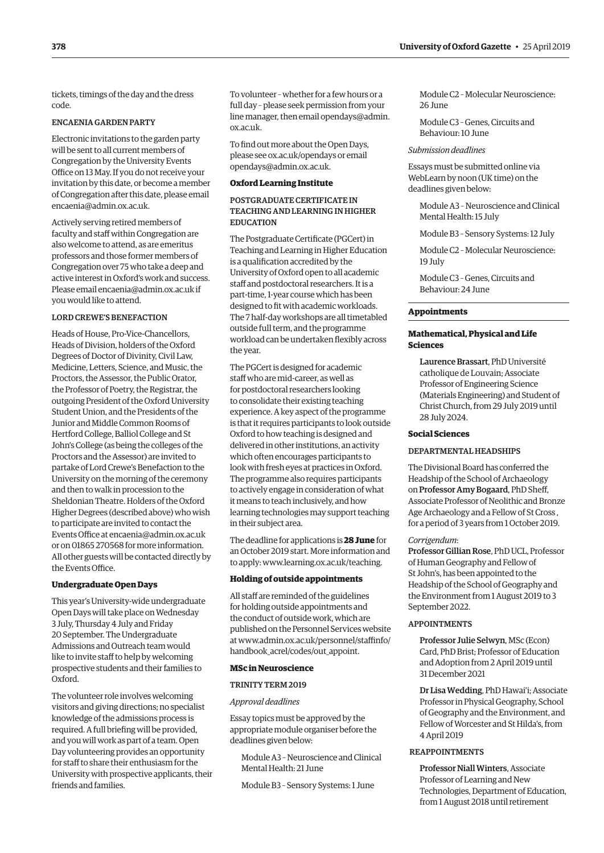<span id="page-11-0"></span>tickets, timings of the day and the dress code.

#### ENCAENIA GARDEN PARTY

Electronic invitations to the garden party will be sent to all current members of Congregation by the University Events Office on 13 May. If you do not receive your invitation by this date, or become a member of Congregation after this date, please email [encaenia@admin.ox.ac.uk.](mailto:encaenia@admin.ox.ac.uk)

Actively serving retired members of faculty and staff within Congregation are also welcome to attend, as are emeritus professors and those former members of Congregation over 75 who take a deep and active interest in Oxford's work and success. Please email [encaenia@admin.ox.ac.uk](mailto:encaenia@admin.ox.ac.uk) if you would like to attend.

#### LORD CREWE'S BENEFACTION

Heads of House, Pro-Vice-Chancellors, Heads of Division, holders of the Oxford Degrees of Doctor of Divinity, Civil Law, Medicine, Letters, Science, and Music, the Proctors, the Assessor, the Public Orator, the Professor of Poetry, the Registrar, the outgoing President of the Oxford University Student Union, and the Presidents of the Junior and Middle Common Rooms of Hertford College, Balliol College and St John's College (as being the colleges of the Proctors and the Assessor) are invited to partake of Lord Crewe's Benefaction to the University on the morning of the ceremony and then to walk in procession to the Sheldonian Theatre. Holders of the Oxford Higher Degrees (described above) who wish to participate are invited to contact the Events Office at [encaenia@admin.ox.ac.uk](mailto:encaenia@admin.ox.ac.uk) or on 01865 270568 for more information. All other guests will be contacted directly by the Events Office.

#### **Undergraduate Open Days**

This year's University-wide undergraduate Open Days will take place on Wednesday 3 July, Thursday 4 July and Friday 20 September. The Undergraduate Admissions and Outreach team would like to invite staff to help by welcoming prospective students and their families to Oxford.

The volunteer role involves welcoming visitors and giving directions; no specialist knowledge of the admissions process is required. A full briefing will be provided, and you will work as part of a team. Open Day volunteering provides an opportunity for staff to share their enthusiasm for the University with prospective applicants, their friends and families.

To volunteer – whether for a few hours or a full day – please seek permission from your line manager, then email [opendays@admin.](mailto:opendays@admin.ox.ac.uk) [ox.ac.uk](mailto:opendays@admin.ox.ac.uk).

To find out more about the Open Days, please see [ox.ac.uk/opendays](http://ox.ac.uk/opendays) or email [opendays@admin.ox.ac.uk](mailto:opendays@admin.ox.ac.uk).

#### **Oxford Learning Institute**

#### POSTGRADUATE CERTIFICATE IN TEACHING AND LEARNING IN HIGHER EDUCATION

The Postgraduate Certificate (PGCert) in Teaching and Learning in Higher Education is a qualification accredited by the University of Oxford open to all academic staff and postdoctoral researchers. It is a part-time, 1-year course which has been designed to fit with academic workloads. The 7 half-day workshops are all timetabled outside full term, and the programme workload can be undertaken flexibly across the year.

The PGCert is designed for academic staff who are mid-career, as well as for postdoctoral researchers looking to consolidate their existing teaching experience. A key aspect of the programme is that it requires participants to look outside Oxford to how teaching is designed and delivered in other institutions, an activity which often encourages participants to look with fresh eyes at practices in Oxford. The programme also requires participants to actively engage in consideration of what it means to teach inclusively, and how learning technologies may support teaching in their subject area.

The deadline for applications is **28 June** for an October 2019 start. More information and to apply: [www.learning.ox.ac.uk/teaching.](http://www.learning.ox.ac.uk/teaching)

#### **Holding of outside appointments**

All staff are reminded of the guidelines for holding outside appointments and the conduct of outside work, which are published on the Personnel Services website at [www.admin.ox.ac.uk/personnel/staffinfo/](http://www.admin.ox.ac.uk/personnel/staffinfo/handbook_acrel/codes/out_appoint) [handbook\\_acrel/codes/out\\_appoint.](http://www.admin.ox.ac.uk/personnel/staffinfo/handbook_acrel/codes/out_appoint)

#### **MSc in Neuroscience**

#### TRINITY TERM 2019

#### *Approval deadlines*

Essay topics must be approved by the appropriate module organiser before the deadlines given below:

Module A3 – Neuroscience and Clinical Mental Health: 21 June

Module B3 – Sensory Systems: 1 June

Module C2 – Molecular Neuroscience: 26 June

Module C3 – Genes, Circuits and Behaviour: 10 June

#### *Submission deadlines*

Essays must be submitted online via WebLearn by noon (UK time) on the deadlines given below:

Module A3 – Neuroscience and Clinical Mental Health: 15 July

Module B3 – Sensory Systems: 12 July

Module C2 – Molecular Neuroscience: 19 July

Module C3 – Genes, Circuits and Behaviour: 24 June

#### **Appointments**

#### **Mathematical, Physical and Life Sciences**

Laurence Brassart, PhD Université catholique de Louvain; Associate Professor of Engineering Science (Materials Engineering) and Student of Christ Church, from 29 July 2019 until 28 July 2024.

#### **Social Sciences**

#### DEPARTMENTAL HEADSHIPS

The Divisional Board has conferred the Headship of the School of Archaeology on Professor Amy Bogaard, PhD Sheff, Associate Professor of Neolithic and Bronze Age Archaeology and a Fellow of St Cross , for a period of 3 years from 1 October 2019.

#### *Corrigendum*:

Professor Gillian Rose, PhD UCL, Professor of Human Geography and Fellow of St John's, has been appointed to the Headship of the School of Geography and the Environment from 1 August 2019 to 3 September 2022.

#### APPOINTMENTS

Professor Julie Selwyn, MSc (Econ) Card, PhD Brist; Professor of Education and Adoption from 2 April 2019 until 31 December 2021

Dr Lisa Wedding, PhD Hawai'i; Associate Professor in Physical Geography, School of Geography and the Environment, and Fellow of Worcester and St Hilda's, from 4 April 2019

#### REAPPOINTMENTS

Professor Niall Winters, Associate Professor of Learning and New Technologies, Department of Education, from 1 August 2018 until retirement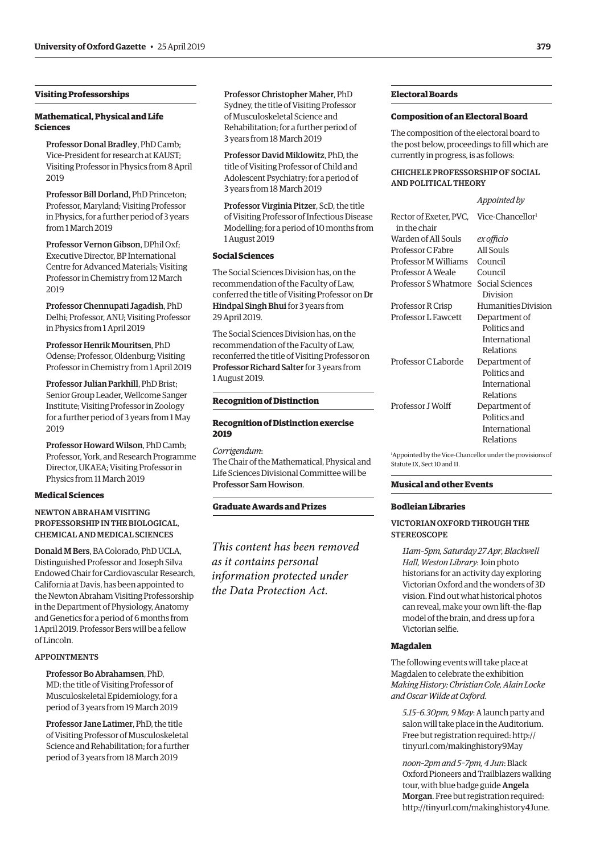#### <span id="page-12-0"></span>**Visiting Professorships**

#### **Mathematical, Physical and Life Sciences**

Professor Donal Bradley, PhD Camb; Vice-President for research at KAUST; Visiting Professor in Physics from 8 April  $2019$ 

Professor Bill Dorland, PhD Princeton; Professor, Maryland; Visiting Professor in Physics, for a further period of 3 years from 1 March 2019

Professor Vernon Gibson, DPhil Oxf; Executive Director, BP International Centre for Advanced Materials; Visiting Professor in Chemistry from 12 March 2019

Professor Chennupati Jagadish, PhD Delhi; Professor, ANU; Visiting Professor in Physics from 1 April 2019

Professor Henrik Mouritsen, PhD Odense; Professor, Oldenburg; Visiting Professor in Chemistry from 1 April 2019

Professor Julian Parkhill, PhD Brist; Senior Group Leader, Wellcome Sanger Institute; Visiting Professor in Zoology for a further period of 3 years from 1 May 2019

Professor Howard Wilson, PhD Camb; Professor, York, and Research Programme Director, UKAEA; Visiting Professor in Physics from 11 March 2019

#### **Medical Sciences**

#### NEWTON ABRAHAM VISITING PROFESSORSHIP IN THE BIOLOGICAL, CHEMICAL AND MEDICAL SCIENCES

Donald M Bers, BA Colorado, PhD UCLA, Distinguished Professor and Joseph Silva Endowed Chair for Cardiovascular Research, California at Davis, has been appointed to the Newton Abraham Visiting Professorship in the Department of Physiology, Anatomy and Genetics for a period of 6 months from 1 April 2019. Professor Bers will be a fellow of Lincoln.

#### APPOINTMENTS

Professor Bo Abrahamsen, PhD, MD; the title of Visiting Professor of Musculoskeletal Epidemiology, for a period of 3 years from 19 March 2019

Professor Jane Latimer, PhD, the title of Visiting Professor of Musculoskeletal Science and Rehabilitation; for a further period of 3 years from 18 March 2019

Professor Christopher Maher, PhD Sydney, the title of Visiting Professor of Musculoskeletal Science and Rehabilitation; for a further period of 3 years from 18 March 2019

Professor David Miklowitz, PhD, the title of Visiting Professor of Child and Adolescent Psychiatry; for a period of 3 years from 18 March 2019

Professor Virginia Pitzer, ScD, the title of Visiting Professor of Infectious Disease Modelling; for a period of 10 months from 1 August 2019

#### **Social Sciences**

The Social Sciences Division has, on the recommendation of the Faculty of Law, conferred the title of Visiting Professor on Dr Hindpal Singh Bhui for 3 years from 29 April 2019.

The Social Sciences Division has, on the recommendation of the Faculty of Law, reconferred the title of Visiting Professor on Professor Richard Salter for 3 years from 1 August 2019.

#### **Recognition of Distinction**

#### **Recognition of Distinction exercise 2019**

*Corrigendum*: The Chair of the Mathematical, Physical and Life Sciences Divisional Committee will be Professor Sam Howison.

#### **Graduate Awards and Prizes**

*This content has been removed as it contains personal information protected under the Data Protection Act.*

#### **Electoral Boards**

#### **Composition of an Electoral Board**

The composition of the electoral board to the post below, proceedings to fill which are currently in progress, is as follows:

#### CHICHELE PROFESSORSHIP OF SOCIAL AND POLITICAL THEORY

#### *Appointed by*

| Rector of Exeter, PVC, Vice-Chancellor <sup>1</sup> |                     |
|-----------------------------------------------------|---------------------|
| in the chair                                        |                     |
| Warden of All Souls                                 | ex officio          |
| Professor C Fabre                                   | All Souls           |
| <b>Professor M Williams</b>                         | Council             |
| Professor A Weale                                   | Council             |
| Professor S Whatmore                                | Social Sciences     |
|                                                     | Division            |
| Professor R Crisp                                   | Humanities Division |
| Professor L Fawcett                                 | Department of       |
|                                                     | Politics and        |
|                                                     | International       |
|                                                     | Relations           |
| Professor C Laborde                                 | Department of       |
|                                                     | Politics and        |
|                                                     | International       |
|                                                     | Relations           |
| Professor J Wolff                                   | Department of       |
|                                                     | Politics and        |
|                                                     | International       |
|                                                     | Relations           |
|                                                     |                     |

1 Appointed by the Vice-Chancellor under the provisions of Statute IX, Sect 10 and 11.

#### **Musical and other Events**

#### **Bodleian Libraries**

#### VICTORIAN OXFORD THROUGH THE **STEREOSCOPE**

*11am–5pm, Saturday 27 Apr, Blackwell Hall, Weston Library*: Join photo historians for an activity day exploring Victorian Oxford and the wonders of 3D vision. Find out what historical photos can reveal, make your own lift-the-flap model of the brain, and dress up for a Victorian selfie.

#### **Magdalen**

The following events will take place at Magdalen to celebrate the exhibition *Making History: Christian Cole, Alain Locke and Oscar Wilde at Oxford*.

*5.15–6.30pm, 9 May*: A launch party and salon will take place in the Auditorium. Free but registration required: [http://](http://tinyurl.com/makinghistory9May) [tinyurl.com/makinghistory9May](http://tinyurl.com/makinghistory9May)

*noon–2pm and 5–7pm, 4 Jun*: Black Oxford Pioneers and Trailblazers walking tour, with blue badge guide Angela Morgan. Free but registration required: [http://tinyurl.com/makinghistory4June.](http://tinyurl.com/makinghistory4June)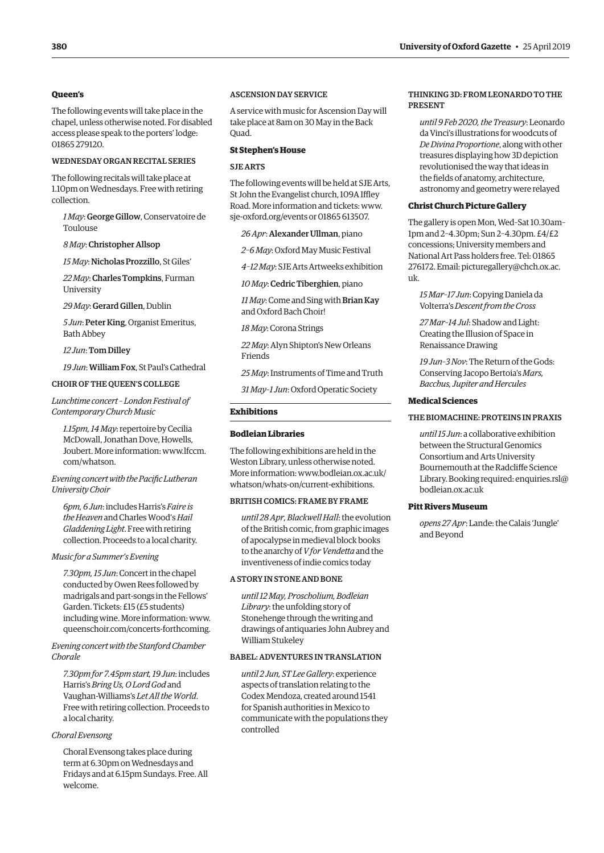#### <span id="page-13-0"></span>**Queen's**

The following events will take place in the chapel, unless otherwise noted. For disabled access please speak to the porters' lodge: 01865 279120.

#### WEDNESDAY ORGAN RECITAL SERIES

The following recitals will take place at 1.10pm on Wednesdays. Free with retiring collection.

*1 May*: George Gillow, Conservatoire de Toulouse

*8 May*: Christopher Allsop

*15 May*: Nicholas Prozzillo, St Giles'

*22 May*: Charles Tompkins, Furman University

*29 May*: Gerard Gillen, Dublin

*5 Jun*: Peter King, Organist Emeritus, Bath Abbey

*12 Jun*: Tom Dilley

*19 Jun*: William Fox, St Paul's Cathedral

#### CHOIR OF THE QUEEN'S COLLEGE

*Lunchtime concert – London Festival of Contemporary Church Music*

*1.15pm, 14 May*: repertoire by Cecilia McDowall, Jonathan Dove, Howells, [Joubert. More information: www.lfccm.](www.lfccm.com/whatson) com/whatson.

#### *Evening concert with the Pacific Lutheran University Choir*

*6pm, 6 Jun*: includes Harris's *Faire is the Heaven* and Charles Wood's *Hail Gladdening Light*. Free with retiring collection. Proceeds to a local charity.

#### *Music for a Summer's Evening*

*7.30pm, 15 Jun*: Concert in the chapel conducted by Owen Rees followed by madrigals and part-songs in the Fellows' Garden. Tickets: £15 (£5 students) including wine. More information: [www.](https://www.queenschoir.com/tickets) [queenschoir.com/concerts-forthcoming.](https://www.queenschoir.com/tickets)

*Evening concert with the Stanford Chamber Chorale* 

*7.30pm for 7.45pm start, 19 Jun*: includes Harris's *Bring Us, O Lord God* and Vaughan-Williams's *Let All the World*. Free with retiring collection. Proceeds to a local charity.

#### *Choral Evensong*

Choral Evensong takes place during term at 6.30pm on Wednesdays and Fridays and at 6.15pm Sundays. Free. All welcome.

#### ASCENSION DAY SERVICE

A service with music for Ascension Day will take place at 8am on 30 May in the Back Quad.

#### **St Stephen's House**

#### SJE ARTS

The following events will be held at SJE Arts, St John the Evangelist church, 109A Iffley Road. More information and tickets: [www.](http://www.sje-oxford.org/events) [sje-oxford.org/events or](http://www.sje-oxford.org/events) 01865 613507.

*26 Apr*: Alexander Ullman, piano

*2–6 May*: Oxford May Music Festival

*4–12 May*: SJE Arts Artweeks exhibition

*10 May*: Cedric Tiberghien, piano

*11 May*: Come and Sing with Brian Kay and Oxford Bach Choir!

*18 May*: Corona Strings

*22 May*: Alyn Shipton's New Orleans Friends

*25 May*: Instruments of Time and Truth

*31 May–1 Jun*: Oxford Operatic Society

#### **Exhibitions**

#### **Bodleian Libraries**

The following exhibitions are held in the Weston Library, unless otherwise noted. [More information: www.bodleian.ox.ac.uk/](www.bodleian.ox.ac.uk/whatson/whats-on/current-exhibitions) whatson/whats-on/current-exhibitions.

#### BRITISH COMICS: FRAME BY FRAME

*until 28 Apr, Blackwell Hall*: the evolution of the British comic, from graphic images of apocalypse in medieval block books to the anarchy of *V for Vendetta* and the inventiveness of indie comics today

#### A STORY IN STONE AND BONE

*until 12 May, Proscholium, Bodleian Library*: the unfolding story of Stonehenge through the writing and drawings of antiquaries John Aubrey and William Stukeley

#### BABEL: ADVENTURES IN TRANSLATION

*until 2 Jun, ST Lee Gallery*: experience aspects of translation relating to the Codex Mendoza, created around 1541 for Spanish authorities in Mexico to communicate with the populations they controlled

#### THINKING 3D: FROM LEONARDO TO THE PRESENT

*until 9 Feb 2020, the Treasury*: Leonardo da Vinci's illustrations for woodcuts of *De Divina Proportione*, along with other treasures displaying how 3D depiction revolutionised the way that ideas in the fields of anatomy, architecture, astronomy and geometry were relayed

#### **Christ Church Picture Gallery**

The gallery is open Mon, Wed–Sat 10.30am– 1pm and 2–4.30pm; Sun 2–4.30pm. £4/£2 concessions; University members and National Art Pass holders free. Tel: 01865 [276172. Email: picturegallery@chch.ox.ac.](mailto:picturegallery@chch.ox.ac.uk) uk.

*15 Mar–17 Jun*: Copying Daniela da Volterra's *Descent from the Cross*

*27 Mar–14 Jul*: Shadow and Light: Creating the Illusion of Space in Renaissance Drawing

*19 Jun–3 Nov*: The Return of the Gods: Conserving Jacopo Bertoia's *Mars, Bacchus, Jupiter and Hercules*

#### **Medical Sciences**

#### THE BIOMACHINE: PROTEINS IN PRAXIS

*until 15 Jun*: a collaborative exhibition between the Structural Genomics Consortium and Arts University Bournemouth at the Radcliffe Science [Library. Booking required: enquiries.rsl@](mailto:enquiries.rsl@bodleian.ox.ac.uk) bodleian.ox.ac.uk

#### **Pitt Rivers Museum**

*opens 27 Apr*: Lande: the Calais 'Jungle' and Beyond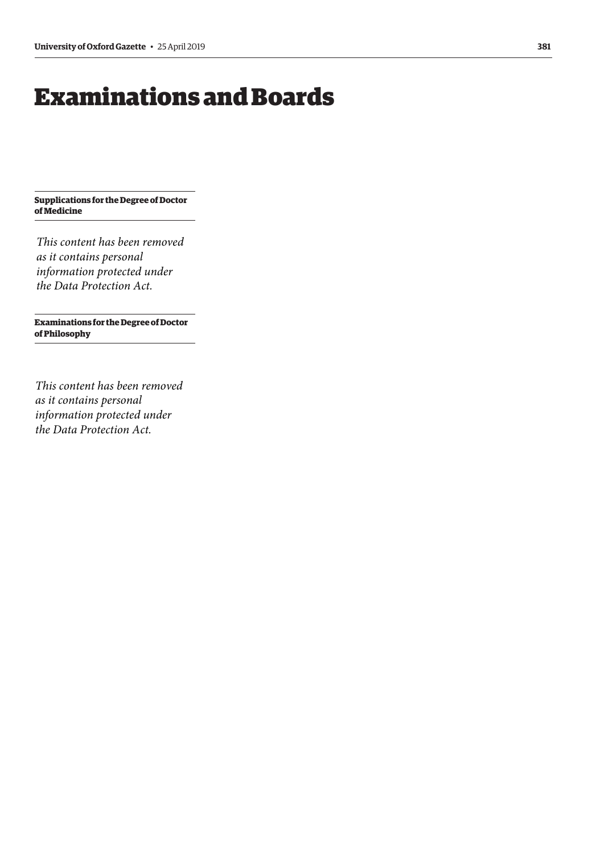## <span id="page-14-0"></span>Examinations and Boards

**Supplications for the Degree of Doctor of Medicine**

*This content has been removed as it contains personal information protected under the Data Protection Act.*

**Examinations for the Degree of Doctor of Philosophy**

*This content has been removed as it contains personal information protected under the Data Protection Act.*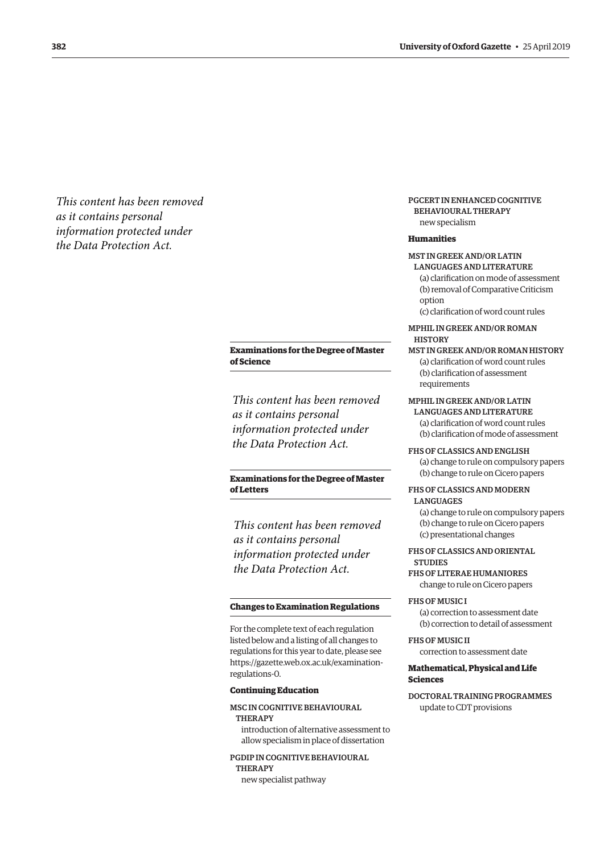<span id="page-15-0"></span>*This content has been removed as it contains personal information protected under the Data Protection Act.*

#### **Examinations for the Degree of Master of Science**

*This content has been removed as it contains personal information protected under the Data Protection Act.*

#### **Examinations for the Degree of Master of Letters**

*This content has been removed as it contains personal information protected under the Data Protection Act.*

#### **Changes to Examination Regulations**

For the complete text of each regulation listed below and a listing of all changes to regulations for this year to date, please see [https://gazette.web.ox.ac.uk/examination](https://gazette.web.ox.ac.uk/examination-regulations-0)regulations-0.

#### **Continuing Education**

#### MSC IN COGNITIVE BEHAVIOURAL THERAPY

introduction of alternative assessment to allow specialism in place of dissertation

#### PGDIP IN COGNITIVE BEHAVIOURAL **THERAPY** new specialist pathway

#### PGCERT IN ENHANCED COGNITIVE BEHAVIOURAL THERAPY new specialism

**Humanities**

### MST IN GREEK AND/OR LATIN

- LANGUAGES AND LITERATURE (a) clarification on mode of assessment (b) removal of Comparative Criticism option (c) clarification of word count rules
- MPHIL IN GREEK AND/OR ROMAN **HISTORY**
- MST IN GREEK AND/OR ROMAN HISTORY (a) clarification of word count rules (b) clarification of assessment requirements

#### MPHIL IN GREEK AND/OR LATIN

LANGUAGES AND LITERATURE (a) clarification of word count rules (b) clarification of mode of assessment

FHS OF CLASSICS AND ENGLISH (a) change to rule on compulsory papers (b) change to rule on Cicero papers

#### FHS OF CLASSICS AND MODERN

#### **LANGUAGES**

(a) change to rule on compulsory papers (b) change to rule on Cicero papers (c) presentational changes

FHS OF CLASSICS AND ORIENTAL **STUDIES** 

#### FHS OF LITERAE HUMANIORES change to rule on Cicero papers

FHS OF MUSIC I (a) correction to assessment date (b) correction to detail of assessment

FHS OF MUSIC II correction to assessment date

#### **Mathematical, Physical and Life Sciences**

DOCTORAL TRAINING PROGRAMMES update to CDT provisions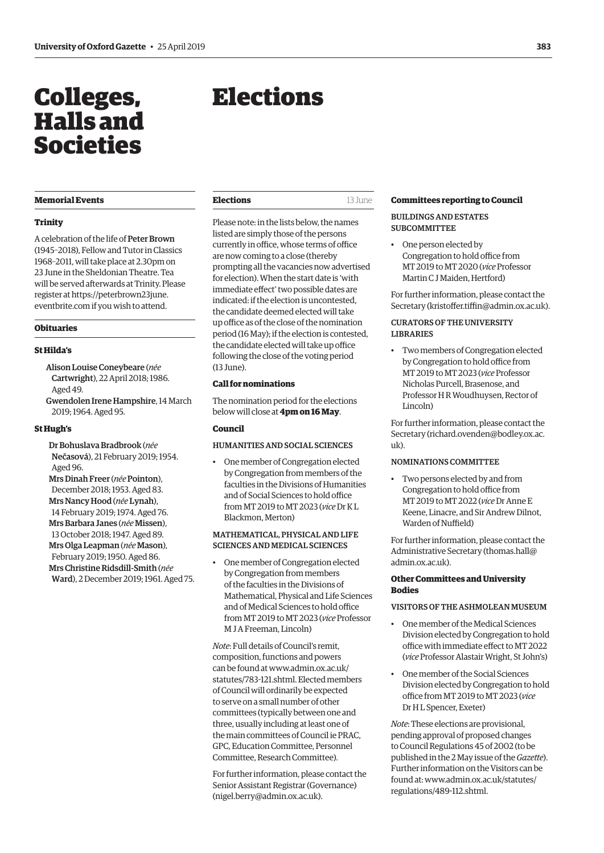## <span id="page-16-0"></span>Colleges, Halls and Societies

#### **Memorial Events**

#### **Trinity**

A celebration of the life of Peter Brown (1945–2018), Fellow and Tutor in Classics 1968–2011, will take place at 2.30pm on 23 June in the Sheldonian Theatre. Tea will be served afterwards at Trinity. Please register at [https://peterbrown23june.](https://peterbrown23june.eventbrite.com) [eventbrite.com](https://peterbrown23june.eventbrite.com) if you wish to attend.

#### **Obituaries**

#### **St Hilda's**

- Alison Louise Coneybeare (*née* Cartwright), 22 April 2018; 1986. Aged 49. Gwendolen Irene Hampshire, 14 March
- 2019; 1964. Aged 95.

#### **St Hugh's**

Dr Bohuslava Bradbrook (*née* Nečasová), 21 February 2019; 1954. Aged 96.

Mrs Dinah Freer (*née* Pointon), December 2018; 1953. Aged 83. Mrs Nancy Hood (*née* Lynah), 14 February 2019; 1974. Aged 76. Mrs Barbara Janes (*née* Missen), 13 October 2018; 1947. Aged 89.

Mrs Olga Leapman (*née* Mason), February 2019; 1950. Aged 86. Mrs Christine Ridsdill-Smith (*née*

Ward), 2 December 2019; 1961. Aged 75.

## Elections

| <b>Elections</b> | 13 June |
|------------------|---------|
|                  |         |

Please note: in the lists below, the names listed are simply those of the persons currently in office, whose terms of office are now coming to a close (thereby prompting all the vacancies now advertised for election). When the start date is 'with immediate effect' two possible dates are indicated: if the election is uncontested, the candidate deemed elected will take up office as of the close of the nomination period (16 May); if the election is contested, the candidate elected will take up office following the close of the voting period (13 June).

#### **Call for nominations**

The nomination period for the elections below will close at **4pm on 16 May**.

#### **Council**

#### HUMANITIES AND SOCIAL SCIENCES

• One member of Congregation elected by Congregation from members of the faculties in the Divisions of Humanities and of Social Sciences to hold office from MT 2019 to MT 2023 (*vice* Dr K L Blackmon, Merton)

#### MATHEMATICAL, PHYSICAL AND LIFE SCIENCES AND MEDICAL SCIENCES

• One member of Congregation elected by Congregation from members of the faculties in the Divisions of Mathematical, Physical and Life Sciences and of Medical Sciences to hold office from MT 2019 to MT 2023 (*vice* Professor M J A Freeman, Lincoln)

*Note*: Full details of Council's remit, composition, functions and powers can be found at [www.admin.ox.ac.uk/](http://www.admin.ox.ac.uk/statutes/783-121.shtml.) [statutes/783-121.shtml.](http://www.admin.ox.ac.uk/statutes/783-121.shtml.) Elected members of Council will ordinarily be expected to serve on a small number of other committees (typically between one and three, usually including at least one of the main committees of Council ie PRAC, GPC, Education Committee, Personnel Committee, Research Committee).

For further information, please contact the Senior Assistant Registrar (Governance) [\(nigel.berry@admin.ox.ac.uk\)](mailto:nigel.berry@admin.ox.ac.uk).

#### **Committees reporting to Council**

#### BUILDINGS AND ESTATES SUBCOMMITTEE

• One person elected by Congregation to hold office from MT 2019 to MT 2020 (*vice* Professor Martin C J Maiden, Hertford)

For further information, please contact the Secretary [\(kristoffer.tiffin@admin.ox.ac.uk\)](mailto:kristoffer.tiffin@admin.ox.ac.uk).

#### CURATORS OF THE UNIVERSITY LIBRARIES

Two members of Congregation elected by Congregation to hold office from MT 2019 to MT 2023 (*vice* Professor Nicholas Purcell, Brasenose, and Professor H R Woudhuysen, Rector of Lincoln)

For further information, please contact the Secretary [\(richard.ovenden@bodley.ox.ac.](mailto:richard.ovenden@bodley.ox.ac.uk)  $11k$ ).

#### NOMINATIONS COMMITTEE

• Two persons elected by and from Congregation to hold office from MT 2019 to MT 2022 (*vice* Dr Anne E Keene, Linacre, and Sir Andrew Dilnot, Warden of Nuffield)

For further information, please contact the Administrative Secretary [\(thomas.hall@](mailto:thomas.hall@admin.ox.ac.uk) [admin.ox.ac.uk](mailto:thomas.hall@admin.ox.ac.uk)).

#### **Other Committees and University Bodies**

#### VISITORS OF THE ASHMOLEAN MUSEUM

- One member of the Medical Sciences Division elected by Congregation to hold office with immediate effect to MT 2022 (*vice* Professor Alastair Wright, St John's)
- One member of the Social Sciences Division elected by Congregation to hold office from MT 2019 to MT 2023 (*vice* Dr H L Spencer, Exeter)

*Note*: These elections are provisional, pending approval of proposed changes to Council Regulations 45 of 2002 (to be published in the 2 May issue of the *Gazette*). Further information on the Visitors can be found at: [www.admin.ox.ac.uk/statutes/](http://www.admin.ox.ac.uk/statutes/regulations/489-112.shtml) [regulations/489-112.shtml.](http://www.admin.ox.ac.uk/statutes/regulations/489-112.shtml)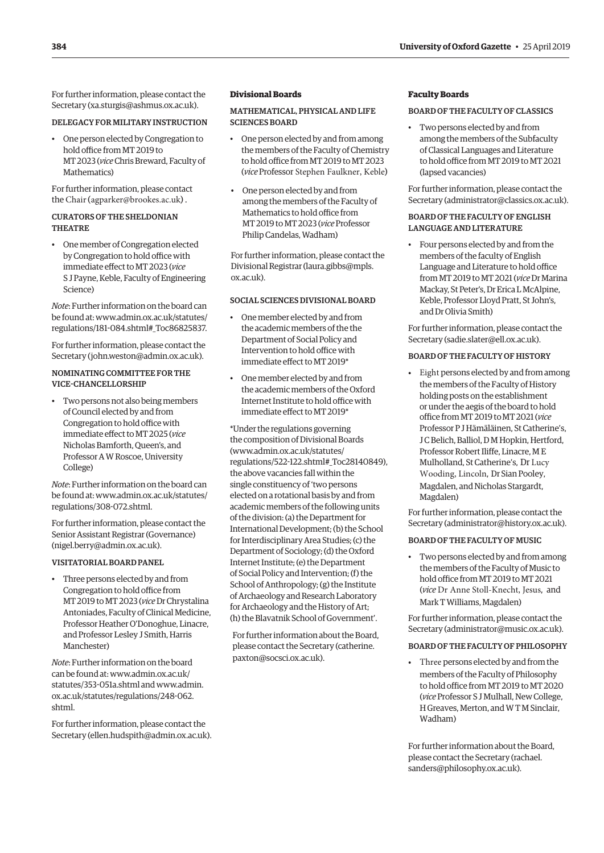For further information, please contact the Secretary [\(xa.sturgis@ashmus.ox.ac.uk](mailto:xa.sturgis@ashmus.ox.ac.uk)).

#### DELEGACY FOR MILITARY INSTRUCTION

• One person elected by Congregation to hold office from MT 2019 to MT 2023 (*vice* Chris Breward, Faculty of Mathematics)

For further information, please contact the Chair ([agparker@brookes.ac.uk](mailto:agparker@brookes.ac.uk)) .

#### CURATORS OF THE SHELDONIAN THEATRE

• One member of Congregation elected by Congregation to hold office with immediate effect to MT 2023 (*vice* S J Payne, Keble, Faculty of Engineering Science)

*Note*: Further information on the board can be found at: [www.admin.ox.ac.uk/statutes/](http://www.admin.ox.ac.uk/statutes/regulations/181-084.shtml#_Toc86825837.) [regulations/181-084.shtml#\\_Toc86825837.](http://www.admin.ox.ac.uk/statutes/regulations/181-084.shtml#_Toc86825837.)

For further information, please contact the Secretary [\(john.weston@admin.ox.ac.uk](mailto:john.weston@admin.ox.ac.uk)).

#### NOMINATING COMMITTEE FOR THE VICE-CHANCELLORSHIP

• Two persons not also being members of Council elected by and from Congregation to hold office with immediate effect to MT 2025 (*vice* Nicholas Bamforth, Queen's, and Professor A W Roscoe, University College)

*Note*: Further information on the board can be found at: [www.admin.ox.ac.uk/statutes/](http://www.admin.ox.ac.uk/statutes/regulations/308-072.shtml) [regulations/308-072.shtml.](http://www.admin.ox.ac.uk/statutes/regulations/308-072.shtml)

For further information, please contact the Senior Assistant Registrar (Governance) [\(nigel.berry@admin.ox.ac.uk\)](mailto:nigel.berry@admin.ox.ac.uk).

#### VISITATORIAL BOARD PANEL

• Three persons elected by and from Congregation to hold office from MT 2019 to MT 2023 (*vice* Dr Chrystalina Antoniades, Faculty of Clinical Medicine, Professor Heather O'Donoghue, Linacre, and Professor Lesley J Smith, Harris Manchester)

*Note*: Further information on the board can be found at: [www.admin.ox.ac.uk/](http://www.admin.ox.ac.uk/statutes/353-051a.shtml) [statutes/353-051a.shtml](http://www.admin.ox.ac.uk/statutes/353-051a.shtml) and [www.admin.](http://www.admin.ox.ac.uk/statutes/regulations/248-062.shtml) [ox.ac.uk/statutes/regulations/248-062.](http://www.admin.ox.ac.uk/statutes/regulations/248-062.shtml) [shtml.](http://www.admin.ox.ac.uk/statutes/regulations/248-062.shtml)

For further information, please contact the Secretary [\(ellen.hudspith@admin.ox.ac.uk](mailto:ellen.hudspith@admin.ox.ac.uk)).

#### **Divisional Boards**

#### MATHEMATICAL, PHYSICAL AND LIFE SCIENCES BOARD

- One person elected by and from among the members of the Faculty of Chemistry to hold office from MT 2019 to MT 2023 (*vice* Professor Stephen Faulkner, Keble)
- One person elected by and from among the members of the Faculty of Mathematics to hold office from MT 2019 to MT 2023 (*vice* Professor Philip Candelas, Wadham)

For further information, please contact the Divisional Registrar [\(laura.gibbs@mpls.](mailto:laura.gibbs@mpls.ox.ac.uk) [ox.ac.uk](mailto:laura.gibbs@mpls.ox.ac.uk)).

#### SOCIAL SCIENCES DIVISIONAL BOARD

- One member elected by and from the academic members of the the Department of Social Policy and Intervention to hold office with immediate effect to MT 2019\*
- One member elected by and from the academic members of the Oxford Internet Institute to hold office with immediate effect to MT 2019\*

\*Under the regulations governing the composition of Divisional Boards [\(www.admin.ox.ac.uk/statutes/](http://www.admin.ox.ac.uk/statutes/regulations/522-122.shtml#_Toc28140849) [regulations/522-122.shtml#\\_Toc28140849\),](http://www.admin.ox.ac.uk/statutes/regulations/522-122.shtml#_Toc28140849) the above vacancies fall within the single constituency of 'two persons elected on a rotational basis by and from academic members of the following units of the division: (a) the Department for International Development; (b) the School for Interdisciplinary Area Studies; (c) the Department of Sociology; (d) the Oxford Internet Institute; (e) the Department of Social Policy and Intervention; (f) the School of Anthropology; (g) the Institute of Archaeology and Research Laboratory for Archaeology and the History of Art; (h) the Blavatnik School of Government'.

[For further information about the Board,](http://adminweb-elections-td.nsms.ox.ac.uk/elections/pastelect/TT14/vacs120614.shtml#_Toc254689245)  [please contact the Secretary \(catherine.](http://adminweb-elections-td.nsms.ox.ac.uk/elections/pastelect/TT14/vacs120614.shtml#_Toc254689245) [paxton@socsci.ox.ac.uk](http://adminweb-elections-td.nsms.ox.ac.uk/elections/pastelect/TT14/vacs120614.shtml#_Toc254689245)).

#### **Faculty Boards**

#### BOARD OF THE FACULTY OF CLASSICS

• Two persons elected by and from among the members of the Subfaculty of Classical Languages and Literature to hold office from MT 2019 to MT 2021 (lapsed vacancies)

For further information, please contact the Secretary [\(administrator@classics.ox.ac.uk](mailto:administrator@classics.ox.ac.uk)).

#### BOARD OF THE FACULTY OF ENGLISH LANGUAGE AND LITERATURE

• Four persons elected by and from the members of the faculty of English Language and Literature to hold office from MT 2019 to MT 2021 (*vice* Dr Marina Mackay, St Peter's, Dr Erica L McAlpine, Keble, Professor Lloyd Pratt, St John's, and Dr Olivia Smith)

For further information, please contact the Secretary [\(sadie.slater@ell.ox.ac.uk\)](mailto:sadie.slater@ell.ox.ac.uk).

#### BOARD OF THE FACULTY OF HISTORY

• Eight persons elected by and from among the members of the Faculty of History holding posts on the establishment or under the aegis of the board to hold office from MT 2019 to MT 2021 (*vice* Professor P J Hämäläinen, St Catherine's, J C Belich, Balliol, D M Hopkin, Hertford, Professor Robert Iliffe, Linacre, M E Mulholland, St Catherine's, Dr Lucy Wooding, Lincoln, Dr Sian Pooley, Magdalen, and Nicholas Stargardt, Magdalen)

For further information, please contact the Secretary [\(administrator@history.ox.ac.uk](mailto:administrator@history.ox.ac.uk)).

#### BOARD OF THE FACULTY OF MUSIC

• Two persons elected by and from among the members of the Faculty of Music to hold office from MT 2019 to MT 2021 (*vice* Dr Anne Stoll-Knecht, Jesus, and Mark T Williams, Magdalen)

For further information, please contact the Secretary [\(administrator@music.ox.ac.uk](mailto:administrator@music.ox.ac.uk)).

#### BOARD OF THE FACULTY OF PHILOSOPHY

• Three persons elected by and from the members of the Faculty of Philosophy to hold office from MT 2019 to MT 2020 (*vice* Professor S J Mulhall, New College, H Greaves, Merton, and W T M Sinclair, Wadham)

For further information about the Board, please contact the Secretary [\(rachael.](mailto:rachael.sanders@philosophy.ox.ac.uk) [sanders@philosophy.ox.ac.uk\)](mailto:rachael.sanders@philosophy.ox.ac.uk).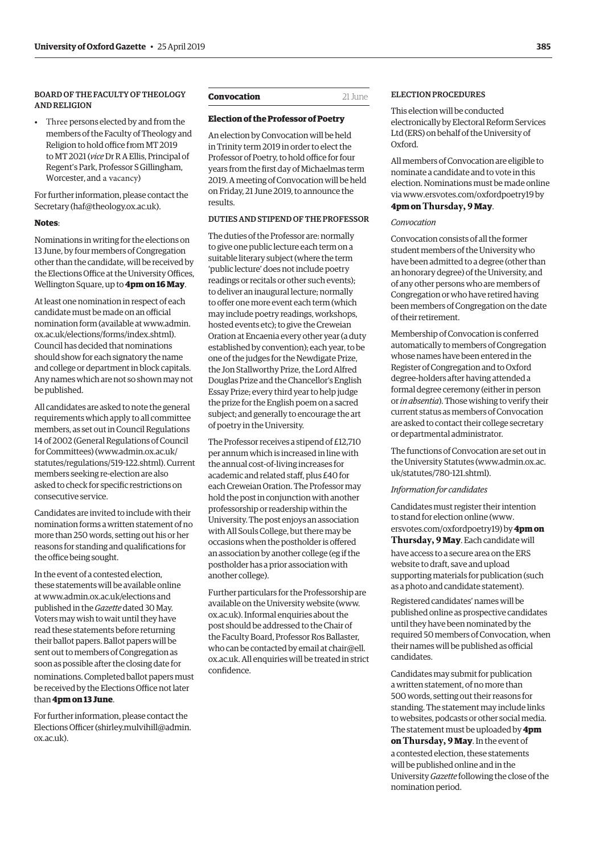#### <span id="page-18-0"></span>BOARD OF THE FACULTY OF THEOLOGY **AND RELIGION**

• Three persons elected by and from the members of the Faculty of Theology and Religion to hold office from MT 2019 to MT 2021 (*vice* Dr R A Ellis, Principal of Regent's Park, Professor S Gillingham, Worcester, and a vacancy)

For further information, please contact the Secretary (haf@theology.ox.ac.uk).

#### **Notes**:

Nominations in writing for the elections on 13 June, by four members of Congregation oth[er than the candidate, will be receive](https://gazette.web.ox.ac.uk/sites/default/files/gazette/documents/media/20_july_2017_-_no_5177_redacted.pdf#page=3)d by the Elections Office at the University Offices, Wellington Square, up to **4pm on 16 May**.

At least one nomination in respect of each candidate must be made on an official nomination form (available at www.admin. ox.ac.uk/[elections/forms/index.sh](mailto:haf@theology.ox.ac.uk)tml). Council has decided that nominations should show for each signatory the name and college or department in block capitals. Any names which are not so shown may not be published.

All candidates are asked to note the general requirements which apply to all committee members, as set out in Council Regulations 14 of 2002 (General Regulations of Council for Committees) (www.admi[n.ox.ac.uk/](http://www.admin.ox.ac.uk/elections/forms/index.shtml) [statutes/regulations/519-122.shtml\). Cu](http://www.admin.ox.ac.uk/elections/forms/index.shtml)rrent members seeking re-election are also asked to check for specific restrictions on consecutive service.

Candidates are invited to include with their nomination forms a written statement of no more than 250 words, setting out his or her reasons for standing and qualifications for the office being sought.

In the event of a c[ontested election,](http://www.admin.ox.ac.uk/statutes/regulations/519-122.shtml)  [these statements will be available on](http://www.admin.ox.ac.uk/statutes/regulations/519-122.shtml)line at www.admin.ox.ac.uk/elections and published in the *Gazette* dated 30 May. Voters may wish to wait until they have read these statements before returning their ballot papers. Ballot papers will be sent out to members of Congregation as soon as possible after the closing date for

nominations. Completed ballot papers must be received by the Elections Office not later than **4pm on 13 June**.

For further information, please contact the El[ections Officer \(shirley.mulvihil](http://www.admin.ox.ac.uk/elections)l@admin. ox.ac.uk).

#### **Convocation** 21 June

#### **Election of the Professor of Poetry**

An election by Convocation will be held in Trinity term 20[19 in order to elect the](mailto:shirley.mulvihill@admin.ox.ac.uk)  [Professor](mailto:(shirley.mulvihill@admin.ox.ac.uk) of Poetry, to hold office for four years from the first day of Michaelmas term 2019. A meeting of Convocation will be held on Friday, 21 June 2019, to announce the results.

#### DUTIES AND STIPEND OF THE PROFESSOR

The duties of the Professor are: normally to give one public lecture each term on a suitable literary subject (where the term 'public lecture' does not include poetry readings or recitals or other such events); to deliver an inaugural lecture; normally to offer one more event each term (which may include poetry readings, workshops, hosted events etc); to give the Creweian Oration at Encaenia every other year (a duty established by convention); each year, to be one of the judges for the Newdigate Prize, the Jon Stallworthy Prize, the Lord Alfred Douglas Prize and the Chancellor's English Essay Prize; every third year to help judge the prize for the English poem on a sacred subject; and generally to encourage the art of poetry in the University.

The Professor receives a stipend of £12,710 per annum which is increased in line with the annual cost-of-living increases for academic and related staff, plus £40 for each Creweian Oration. The Professor may hold the post in conjunction with another professorship or readership within the University. The post enjoys an association with All Souls College, but there may be occasions when the postholder is offered an association by another college (eg if the postholder has a prior association with another college).

Further particulars for the Professorship are available on the University website (www. ox.ac.uk). Informal enquiries about the post should be addressed to the Chair of the Faculty Board, Professor Ros Ballaster, who can be contacted by email at chair@ell. ox.ac.uk. All enquiries will be treated in strict confidence.

#### ELECTION PROCEDURES

This election will be conducted electronically by Electoral Reform Services Ltd (ERS) on behalf of the University of Oxford.

All members of Convocation are eligible to nominate a candidate and to vote in this election. Nominations must be made online via [www.ersvotes.com/oxfordpoetry19](http://www.ersvotes.com/oxfordpoetry19) by

#### **4pm on Thursday, 9 May**.

#### *Convocation*

Convocation consists of all the former student members of the University who have been admitted to a degree (other than an honorary degree) of the University, and of any other persons who are members of Congregation or who have retired having been members of Congregation on the date of their retirement.

Membership of Convocation is conferred automatically to members of Congregation whose names have been entered in the Register of Congregation and to Oxford degree-holders after having attended a formal degree ceremony (either in person or *in absentia*). Those wishing to verify their current status as members of Convocation are asked to contact their college secretary or departmental administrator.

The functions of Convocation are set out in the University Statutes [\(www.admin.ox.ac.](http://www.admin.ox.ac.uk/statutes/780-121.shtml) [uk/statutes/780-121.shtml\).](http://www.admin.ox.ac.uk/statutes/780-121.shtml)

#### *Information for candidates*

Candidates must register their intention to stand for election online [\(www.](http://www.ersvotes.com/oxfordpoetry19) [ersvotes.com/oxfordpoetry19\)](http://www.ersvotes.com/oxfordpoetry19) by **4pm on Thursday, 9 May**. Each candidate will have access to a secure area on the ERS website to draft, save and upload supporting materials for publication (such as a photo and candidate statement).

Registered candidates' names will be published online as prospective candidates until they have been nominated by the required 50 members of Convocation, when their names will be published as official candidates.

Candidates may submit for publication a written statement, of no more than 500 words, setting out their reasons for standing. The statement may include links to websites, podcasts or other social media. The statement must be uploaded by **4pm on Thursday, 9 May**. In the event of a contested election, these statements will be published online and in the University *Gazette* following the close of the nomination period.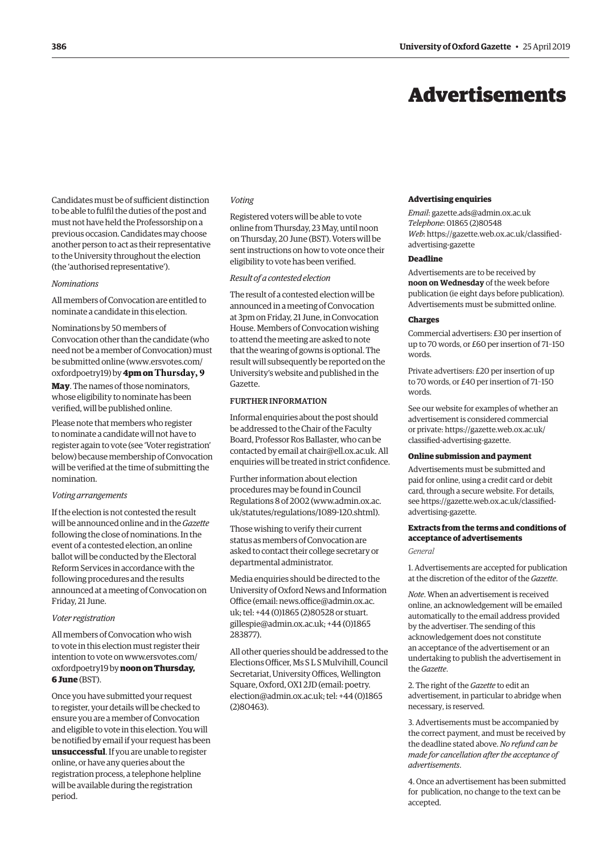## Advertisements

<span id="page-19-0"></span>Candidates must be of sufficient distinction to be able to fulfil the duties of the post and must not have held the Professorship on a previous occasion. Candidates may choose another person to act as their representative to the University throughout the election (the 'authorised representative').

#### *Nominations*

All members of Convocation are entitled to nominate a candidate in this election.

Nominations by 50 members of Convocation other than the candidate (who need not be a member of Convocation) must be submitted online [\(www.ersvotes.com/](http://www.ersvotes.com/oxfordpoetry19) [oxfordpoetry19\)](http://www.ersvotes.com/oxfordpoetry19) by **4pm on Thursday, 9 May**. The names of those nominators, whose eligibility to nominate has been verified, will be published online.

Please note that members who register to nominate a candidate will not have to register again to vote (see 'Voter registration' below) because membership of Convocation will be verified at the time of submitting the nomination.

#### *Voting arrangements*

If the election is not contested the result will be announced online and in the *Gazette* following the close of nominations. In the event of a contested election, an online ballot will be conducted by the Electoral Reform Services in accordance with the following procedures and the results announced at a meeting of Convocation on Friday, 21 June.

#### *Voter registration*

All members of Convocation who wish to vote in this election must register their intention to vote on [www.ersvotes.com/](http://www.ersvotes.com/oxfordpoetry19) [oxfordpoetry19](http://www.ersvotes.com/oxfordpoetry19) by **noon on Thursday, 6 June** (BST).

Once you have submitted your request to register, your details will be checked to ensure you are a member of Convocation and eligible to vote in this election. You will be notified by email if your request has been **unsuccessful**. If you are unable to register online, or have any queries about the registration process, a telephone helpline will be available during the registration period.

#### *Voting*

Registered voters will be able to vote online from Thursday, 23 May, until noon on Thursday, 20 June (BST). Voters will be sent instructions on how to vote once their eligibility to vote has been verified.

#### *Result of a contested election*

The result of a contested election will be announced in a meeting of Convocation at 3pm on Friday, 21 June, in Convocation House. Members of Convocation wishing to attend the meeting are asked to note that the wearing of gowns is optional. The result will subsequently be reported on the University's website and published in the Gazette.

#### FURTHER INFORMATION

Informal enquiries about the post should be addressed to the Chair of the Faculty Board, Professor Ros Ballaster, who can be contacted by email at [chair@ell.ox.ac.uk.](mailto:chair@ell.ox.ac.uk) All enquiries will be treated in strict confidence.

Further information about election procedures may be found in Council Regulations 8 of 2002 [\(www.admin.ox.ac.](http://www.admin.ox.ac.uk/statutes/regulations/1089-120.shtml) [uk/statutes/regulations/1089-120.shtml\).](http://www.admin.ox.ac.uk/statutes/regulations/1089-120.shtml)

Those wishing to verify their current status as members of Convocation are asked to contact their college secretary or departmental administrator.

Media enquiries should be directed to the University of Oxford News and Information Office (email: [news.office@admin.ox.ac.](mailto:news.office@admin.ox.ac.uk) [uk](mailto:news.office@admin.ox.ac.uk); tel: +44 (0)1865 (2)80528 or [stuart.](mailto:stuart.gillespie@admin.ox.ac.uk) [gillespie@admin.ox.ac.uk](mailto:stuart.gillespie@admin.ox.ac.uk); +44 (0)1865 283877).

All other queries should be addressed to the Elections Officer, Ms S L S Mulvihill, Council Secretariat, University Offices, Wellington Square, Oxford, OX1 2JD (email: [poetry.](mailto:poetry.election@admin.ox.ac.uk) [election@admin.ox.ac.uk](mailto:poetry.election@admin.ox.ac.uk); tel: +44 (0)1865 (2)80463).

#### **Advertising enquiries**

*Email*: [gazette.ads@admin.ox.ac.uk](mailto:gazette.ads@admin.ox.ac.uk) *Telephone*: 01865 (2)80548 *Web*[: https://gazette.web.ox.ac.uk/classified](https://gazette.web.ox.ac.uk/classified-advertising-gazette)advertising-gazette

#### **Deadline**

Advertisements are to be received by **noon on Wednesday** of the week before publication (ie eight days before publication). Advertisements must be submitted online.

#### **Charges**

Commercial advertisers: £30 per insertion of up to 70 words, or £60 per insertion of 71–150 words.

Private advertisers: £20 per insertion of up to 70 words, or £40 per insertion of 71–150 words.

See our website for examples of whether an advertisement is considered commercial [or private: https://gazette.web.ox.ac.uk/](https://gazette.web.ox.ac.uk/classified-advertising-gazette) classified-advertising-gazette.

#### **Online submission and payment**

Advertisements must be submitted and paid for online, using a credit card or debit card, through a secure website. For details, see https:/[/gazette.web.ox.ac.uk/classified](http://www.ox.ac.uk/gazette/classifiedadvertising)[advertising-](http://www.ox.ac.uk/gazette/classifiedadvertising)gazette.

#### **Extracts from the terms and conditions of acceptance of advertisements**

*General*

1. Advertisements are accepted for publication at the discretion of the editor of the *Gazette*.

*Note*. When an advertisement is received online, an acknowledgement will be emailed automatically to the email address provided by the advertiser. The sending of this acknowledgement does not constitute an acceptance of the advertisement or an undertaking to publish the advertisement in the *Gazette*.

2. The right of the *Gazette* to edit an advertisement, in particular to abridge when necessary, is reserved.

3. Advertisements must be accompanied by the correct payment, and must be received by the deadline stated above. *No refund can be made for cancellation after the acceptance of advertisements*.

4. Once an advertisement has been submitted for publication, no change to the text can be accepted.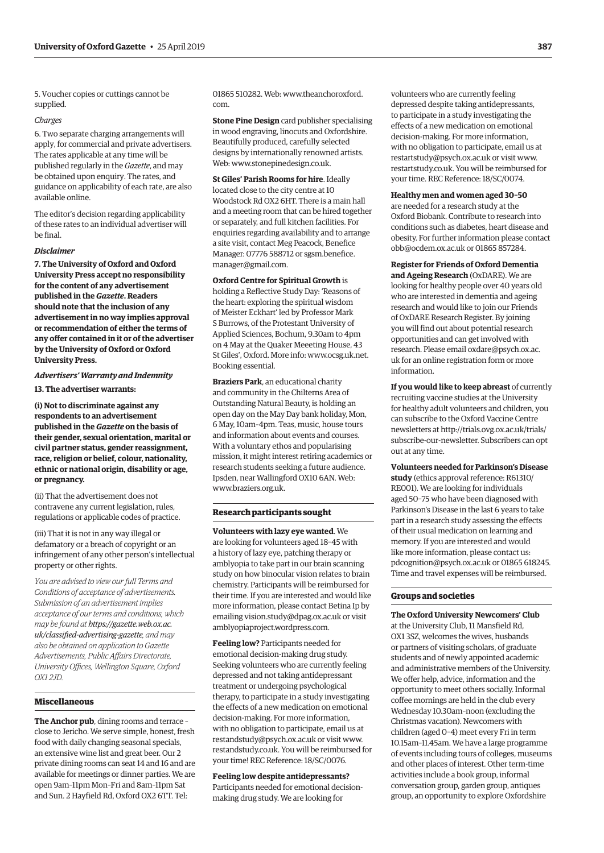<span id="page-20-0"></span>5. Voucher copies or cuttings cannot be supplied.

#### *Charges*

6. Two separate charging arrangements will apply, for commercial and private advertisers. The rates applicable at any time will be published regularly in the *Gazette*, and may be obtained upon enquiry. The rates, and guidance on applicability of each rate, are also available online.

The editor's decision regarding applicability of these rates to an individual advertiser will be final.

#### *Disclaimer*

**7. The University of Oxford and Oxford University Press accept no responsibility for the content of any advertisement published in the** *Gazette***. Readers should note that the inclusion of any advertisement in no way implies approval or recommendation of either the terms of any offer contained in it or of the advertiser by the University of Oxford or Oxford University Press.**

#### *Advertisers' Warranty and Indemnity* **13. The advertiser warrants:**

**(i) Not to discriminate against any respondents to an advertisement published in the** *Gazette* **on the basis of their gender, sexual orientation, marital or civil partner status, gender reassignment, race, religion or belief, colour, nationality, ethnic or national origin, disability or age, or pregnancy.**

(ii) That the advertisement does not contravene any current legislation, rules, regulations or applicable codes of practice.

(iii) That it is not in any way illegal or defamatory or a breach of copyright or an infringement of any other person's intellectual property or other rights.

*You are advised to view our full Terms and Conditions of acceptance of advertisements. Submission of an advertisement implies acceptance of our terms and conditions, which may be found at https://gazette.web.ox.ac. [uk/classified-advertising-gazette](https://gazette.web.ox.ac.uk/classified-advertising-gazette), and may also be obtained on application to Gazette Advertisements, Public Affairs Directorate, University Offices, Wellington Square, Oxford OX1 2JD.*

#### **Miscellaneous**

**The Anchor pub**, dining rooms and terrace – close to Jericho. We serve simple, honest, fresh food with daily changing seasonal specials, an extensive wine list and great beer. Our 2 private dining rooms can seat 14 and 16 and are available for meetings or dinner parties. We are open 9am–11pm Mon–Fri and 8am–11pm Sat and Sun. 2 Hayfield Rd, Oxford OX2 6TT. Tel:

01865 510282. Web: [www.theanchoroxford.](http://www.theanchoroxford.com) [com.](http://www.theanchoroxford.com)

**Stone Pine Design** card publisher specialising in wood engraving, linocuts and Oxfordshire. Beautifully produced, carefully selected designs by internationally renowned artists. Web: [www.stonepinedesign.co.uk.](http://www.stonepinedesign.co.uk)

**St Giles' Parish Rooms for hire**. Ideally located close to the city centre at 10 Woodstock Rd OX2 6HT. There is a main hall and a meeting room that can be hired together or separately, and full kitchen facilities. For enquiries regarding availability and to arrange a site visit, contact Meg Peacock, Benefice Manager: 07776 588712 or [sgsm.benefice.](mailto:sgsm.benefice.manager@gmail.com) [manager@gmail.com](mailto:sgsm.benefice.manager@gmail.com).

**Oxford Centre for Spiritual Growth** is holding a Reflective Study Day: 'Reasons of the heart: exploring the spiritual wisdom of Meister Eckhart' led by Professor Mark S Burrows, of the Protestant University of Applied Sciences, Bochum, 9.30am to 4pm on 4 May at the Quaker Meeeting House, 43 St Giles', Oxford. More info: [www.ocsg.uk.net.](http://www.ocsg.uk.net) Booking essential.

**Braziers Park**, an educational charity and community in the Chilterns Area of Outstanding Natural Beauty, is holding an open day on the May Day bank holiday, Mon, 6 May, 10am–4pm. Teas, music, house tours and information about events and courses. With a voluntary ethos and popularising mission, it might interest retiring academics or research students seeking a future audience. Ipsden, near Wallingford OX10 6AN. Web: [www.braziers.org.uk.](http://www.braziers.org.uk)

#### **Research participants sought**

**Volunteers with lazy eye wanted**. We are looking for volunteers aged 18–45 with a history of lazy eye, patching therapy or amblyopia to take part in our brain scanning study on how binocular vision relates to brain chemistry. Participants will be reimbursed for their time. If you are interested and would like more information, please contact Betina Ip by emailing [vision.study@dpag.ox.ac.uk](mailto:vision.study@dpag.ox.ac.uk) or visit [amblyopiaproject.wordpress.com](http://amblyopiaproject.wordpress.com).

**Feeling low?** Participants needed for emotional decision-making drug study. Seeking volunteers who are currently feeling depressed and not taking antidepressant treatment or undergoing psychological therapy, to participate in a study investigating the effects of a new medication on emotional decision-making. For more information, with no obligation to participate, email us at [restandstudy@psych.ox.ac.uk](mailto:restandstudy@psych.ox.ac.uk) or visit [www.](http://www.restandstudy.co.uk) [restandstudy.co.uk.](http://www.restandstudy.co.uk) You will be reimbursed for your time! REC Reference: 18/SC/0076.

**Feeling low despite antidepressants?**  Participants needed for emotional decisionmaking drug study. We are looking for

volunteers who are currently feeling depressed despite taking antidepressants, to participate in a study investigating the effects of a new medication on emotional decision-making. For more information, with no obligation to participate, email us at [restartstudy@psych.ox.ac.uk](mailto:restartstudy@psych.ox.ac.uk) or visit [www.](http://www.restartstudy.co.uk) [restartstudy.co.uk](http://www.restartstudy.co.uk). You will be reimbursed for your time. REC Reference: 18/SC/0074.

**Healthy men and women aged 30–50** are needed for a research study at the Oxford Biobank. Contribute to research into conditions such as diabetes, heart disease and obesity. For further information please contact [obb@ocdem.ox.ac.uk](mailto:obb@ocdem.ox.ac.uk) or 01865 857284.

**Register for Friends of Oxford Dementia and Ageing Research** (OxDARE). We are looking for healthy people over 40 years old who are interested in dementia and ageing research and would like to join our Friends of OxDARE Research Register. By joining you will find out about potential research opportunities and can get involved with research. Please email [oxdare@psych.ox.ac.](mailto:oxdare@psych.ox.ac.uk) [uk](mailto:oxdare@psych.ox.ac.uk) for an online registration form or more information.

**If you would like to keep abreast** of currently recruiting vaccine studies at the University for healthy adult volunteers and children, you can subscribe to the Oxford Vaccine Centre newsletters at [http://trials.ovg.ox.ac.uk/trials/](http://trials.ovg.ox.ac.uk/trials/subscribe-our-newsletter) [subscribe-our-newsletter.](http://trials.ovg.ox.ac.uk/trials/subscribe-our-newsletter) Subscribers can opt out at any time.

**Volunteers needed for Parkinson's Disease study** (ethics approval reference: R61310/ RE001). We are looking for individuals aged 50–75 who have been diagnosed with Parkinson's Disease in the last 6 years to take part in a research study assessing the effects of their usual medication on learning and memory. If you are interested and would like more information, please contact us: [pdcognition@psych.ox.ac.uk](mailto:pdcognition@psych.ox.ac.uk) or 01865 618245. Time and travel expenses will be reimbursed.

#### **Groups and societies**

**The Oxford University Newcomers' Club** at the University Club, 11 Mansfield Rd, OX1 3SZ, welcomes the wives, husbands or partners of visiting scholars, of graduate students and of newly appointed academic and administrative members of the University. We offer help, advice, information and the opportunity to meet others socially. Informal coffee mornings are held in the club every Wednesday 10.30am–noon (excluding the Christmas vacation). Newcomers with children (aged 0–4) meet every Fri in term 10.15am–11.45am. We have a large programme of events including tours of colleges, museums and other places of interest. Other term-time activities include a book group, informal conversation group, garden group, antiques group, an opportunity to explore Oxfordshire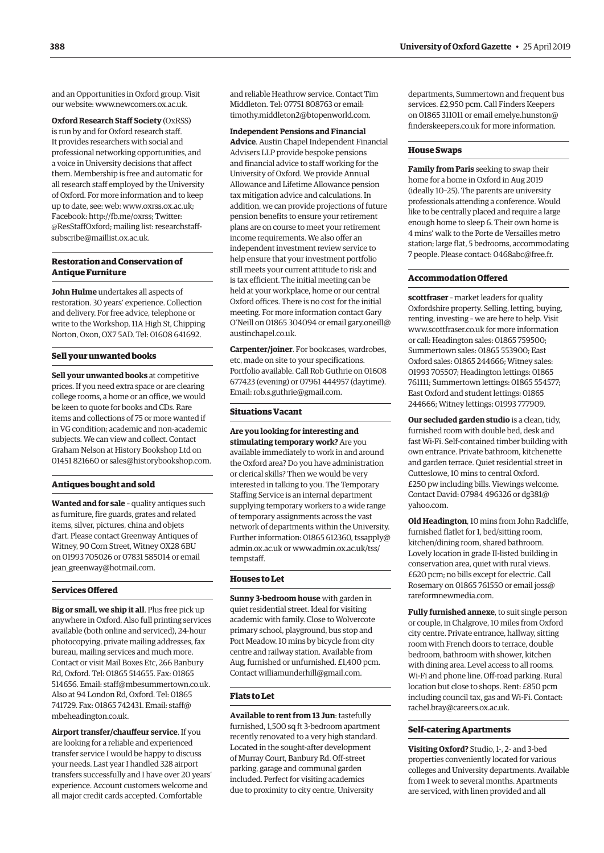and an Opportunities in Oxford group. Visit our website: [www.newcomers.ox.ac.uk](http://www.newcomers.ox.ac.uk).

**Oxford Research Staff Society** (OxRSS) is run by and for Oxford research staff. It provides researchers with social and professional networking opportunities, and a voice in University decisions that affect them. Membership is free and automatic for all research staff employed by the University of Oxford. For more information and to keep up to date, see: web: [www.oxrss.ox.ac.uk](http://www.oxrss.ox.ac.uk); Facebook: [http://fb.me/oxrss;](http://fb.me/oxrss) Twitter: @[ResStaffOxford](https://twitter.com/resstaffoxford); mailing lis[t: researchstaf](mailto:researchstaff-subscribe@maillist.ox.ac.uk)f[subscribe@maillist.ox.ac.uk.](mailto:researchstaff-subscribe@maillist.ox.ac.uk)

#### **Restoration and Conservation of Antique Furniture**

**John Hulme** undertakes all aspects of restoration. 30 years' experience. Collection and delivery. For free advice, telephone or write to the Workshop, 11A High St, Chipping Norton, Oxon, OX7 5AD. Tel: 01608 641692.

#### **Sell your unwanted books**

**Sell your unwanted books** at competitive prices. If you need extra space or are clearing college rooms, a home or an office, we would be keen to quote for books and CDs. Rare items and collections of 75 or more wanted if in VG condition; academic and non-academic subjects. We can view and collect. Contact Graham Nelson at History Bookshop Ltd on 01451 821660 or [sales@historybookshop.com.](mailto:sales@historybookshop.com)

#### **Antiques bought and sold**

**Wanted and for sale** – quality antiques such as furniture, fire guards, grates and related items, silver, pictures, china and objets d'art. Please contact Greenway Antiques of Witney, 90 Corn Street, Witney OX28 6BU on 01993 705026 or 07831 585014 or email [jean\\_greenway@hotmail.com.](mailto:jean_greenway@hotmail.com)

#### **Services Offered**

**Big or small, we ship it all**. Plus free pick up anywhere in Oxford. Also full printing services available (both online and serviced), 24-hour photocopying, private mailing addresses, fax bureau, mailing services and much more. Contact or visit Mail Boxes Etc, 266 Banbury Rd, Oxford. Tel: 01865 514655. Fax: 01865 514656. Email: [staff@mbesummertown.co.uk.](mailto:staff@mbesummertown.co.uk) Also at 94 London Rd, Oxford. Tel: 01865 741729. Fax: 01865 742431. Email: [staff@](mailto:staff@mbeheadington.co.uk) [mbeheadington.co.uk](mailto:staff@mbeheadington.co.uk).

**Airport transfer/chauffeur service**. If you are looking for a reliable and experienced transfer service I would be happy to discuss your needs. Last year I handled 328 airport transfers successfully and I have over 20 years' experience. Account customers welcome and all major credit cards accepted. Comfortable

and reliable Heathrow service. Contact Tim Middleton. Tel: 07751 808763 or email: [timothy.middleton2@btopenworld.com.](mailto:timothy.middleton2@btopenworld.com)

**Independent Pensions and Financial** 

**Advice**. Austin Chapel Independent Financial Advisers LLP provide bespoke pensions and financial advice to staff working for the University of Oxford. We provide Annual Allowance and Lifetime Allowance pension tax mitigation advice and calculations. In addition, we can provide projections of future pension benefits to ensure your retirement plans are on course to meet your retirement income requirements. We also offer an independent investment review service to help ensure that your investment portfolio still meets your current attitude to risk and is tax efficient. The initial meeting can be held at your workplace, home or our central Oxford offices. There is no cost for the initial meeting. For more information contact Gary O'Neill on 01865 304094 or email [gary.oneill@](mailto:gary.oneill@austinchapel.co.uk) [austinchapel.co.uk](mailto:gary.oneill@austinchapel.co.uk).

**Carpenter/joiner**. For bookcases, wardrobes, etc, made on site to your specifications. Portfolio available. Call Rob Guthrie on 01608 677423 (evening) or 07961 444957 (daytime). Email: [rob.s.guthrie@gmail.com.](mailto:rob.s.guthrie@gmail.com)

#### **Situations Vacant**

**Are you looking for interesting and stimulating temporary work?** Are you available immediately to work in and around the Oxford area? Do you have administration or clerical skills? Then we would be very interested in talking to you. The Temporary Staffing Service is an internal department supplying temporary workers to a wide range of temporary assignments across the vast network of departments within the University. Further information: 01865 612360, [tssapply@](mailto:tssapply@admin.ox.ac.uk) [admin.ox.ac.uk](mailto:tssapply@admin.ox.ac.uk) or [www.admin.ox.ac.uk/tss/](http://www.admin.ox.ac.uk/tss/tempstaff) [tempstaff.](http://www.admin.ox.ac.uk/tss/tempstaff)

#### **Houses to Let**

**Sunny 3-bedroom house** with garden in quiet residential street. Ideal for visiting academic with family. Close to Wolvercote primary school, playground, bus stop and Port Meadow. 10 mins by bicycle from city centre and railway station. Available from Aug, furnished or unfurnished. £1,400 pcm. Contact [williamunderhill@gmail.com](mailto:williamunderhill@gmail.com).

#### **Flats to Let**

**Available to rent from 13 Jun**: tastefully furnished, 1,500 sq ft 3-bedroom apartment recently renovated to a very high standard. Located in the sought-after development of Murray Court, Banbury Rd. Off-street parking, garage and communal garden included. Perfect for visiting academics due to proximity to city centre, University

departments, Summertown and frequent bus services. £2,950 pcm. Call Finders Keepers on 01865 311011 or email [emelye.hunston@](mailto:emelye.hunston@finderskeepers.co.uk) [finderskeepers.co.uk](mailto:emelye.hunston@finderskeepers.co.uk) for more information.

#### **House Swaps**

**Family from Paris** seeking to swap their home for a home in Oxford in Aug 2019 (ideally 10–25). The parents are university professionals attending a conference. Would like to be centrally placed and require a large enough home to sleep 6. Their own home is 4 mins' walk to the Porte de Versailles metro station; large flat, 5 bedrooms, accommodating 7 people. Please contact: [0468abc@free.fr.](mailto:0468abc@free.fr)

#### **Accommodation Offered**

**scottfraser** – market leaders for quality Oxfordshire property. Selling, letting, buying, renting, investing – we are here to help. Visit [www.scottfraser.co.uk](http://www.scottfraser.co.uk) for more information or call: Headington sales: 01865 759500; Summertown sales: 01865 553900; East Oxford sales: 01865 244666; Witney sales: 01993 705507; Headington lettings: 01865 761111; Summertown lettings: 01865 554577; East Oxford and student lettings: 01865 244666; Witney lettings: 01993 777909.

**Our secluded garden studio** is a clean, tidy, furnished room with double bed, desk and fast Wi-Fi. Self-contained timber building with own entrance. Private bathroom, kitchenette and garden terrace. Quiet residential street in Cutteslowe, 10 mins to central Oxford. £250 pw including bills. Viewings welcome. Contact David: 07984 496326 or [dg381@](mailto:dg381@yahoo.com) [yahoo.com](mailto:dg381@yahoo.com).

**Old Headington**, 10 mins from John Radcliffe, furnished flatlet for 1, bed/sitting room, kitchen/dining room, shared bathroom. Lovely location in grade II-listed building in conservation area, quiet with rural views. £620 pcm; no bills except for electric. Call Rosemary on 01865 761550 or email [joss@](mailto:joss@rareformnewmedia.com) [rareformnewmedia.com](mailto:joss@rareformnewmedia.com).

**Fully furnished annexe**, to suit single person or couple, in Chalgrove, 10 miles from Oxford city centre. Private entrance, hallway, sitting room with French doors to terrace, double bedroom, bathroom with shower, kitchen with dining area. Level access to all rooms. Wi-Fi and phone line. Off-road parking. Rural location but close to shops. Rent: £850 pcm including council tax, gas and Wi-Fi. Contact: [rachel.bray@careers.ox.ac.uk.](mailto:rachel.bray@careers.ox.ac.uk)

#### **Self-catering Apartments**

**Visiting Oxford?** Studio, 1-, 2- and 3-bed properties conveniently located for various colleges and University departments. Available from 1 week to several months. Apartments are serviced, with linen provided and all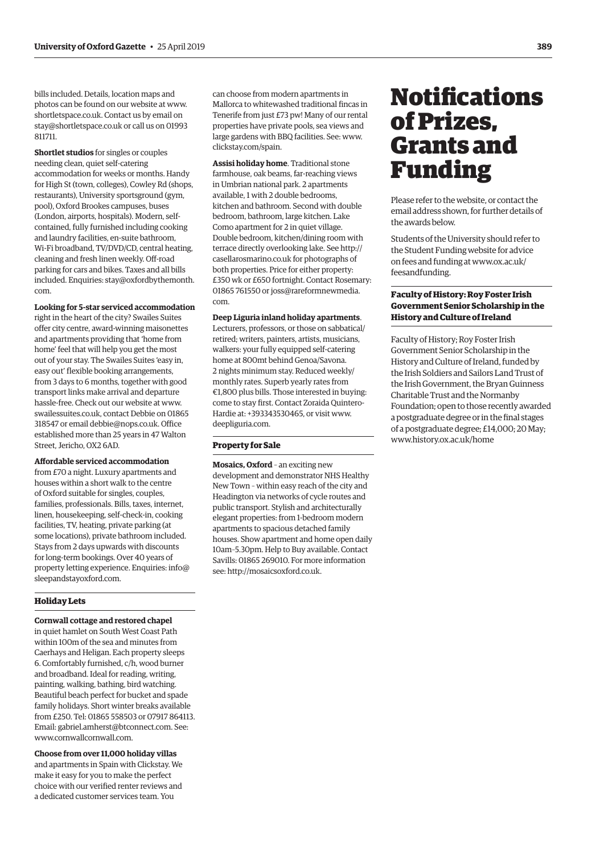<span id="page-22-0"></span>bills included. Details, location maps and photos can be found on our website at [www.](http://www.shortletspace.co.uk) [shortletspace.co.uk.](http://www.shortletspace.co.uk) Contact us by email on [stay@shortletspace.co.uk](mailto:stay@shortletspace.co.uk) or call us on 01993 811711.

**Shortlet studios** for singles or couples needing clean, quiet self-catering accommodation for weeks or months. Handy for High St (town, colleges), Cowley Rd (shops, restaurants), University sportsground (gym, pool), Oxford Brookes campuses, buses (London, airports, hospitals). Modern, selfcontained, fully furnished including cooking and laundry facilities, en-suite bathroom, Wi-Fi broadband, TV/DVD/CD, central heating, cleaning and fresh linen weekly. Off-road parking for cars and bikes. Taxes and all bills included. Enquiries: [stay@oxfordbythemonth.](mailto:stay@oxfordbythemonth.com) [com.](mailto:stay@oxfordbythemonth.com)

**Looking for 5-star serviced accommodation** right in the heart of the city? Swailes Suites offer city centre, award-winning maisonettes and apartments providing that 'home from home' feel that will help you get the most out of your stay. The Swailes Suites 'easy in, easy out' flexible booking arrangements, from 3 days to 6 months, together with good transport links make arrival and departure hassle-free. Check out our website at [www.](http://www.swailessuites.co.uk) [swailessuites.co.uk,](http://www.swailessuites.co.uk) contact Debbie on 01865 318547 or email [debbie@nops.co.uk.](mailto:debbie@nops.co.uk) Office established more than 25 years in 47 Walton Street, Jericho, OX2 6AD.

**Affordable serviced accommodation** from £70 a night. Luxury apartments and houses within a short walk to the centre of Oxford suitable for singles, couples, families, professionals. Bills, taxes, internet, linen, housekeeping, self-check-in, cooking facilities, TV, heating, private parking (at some locations), private bathroom included. Stays from 2 days upwards with discounts for long-term bookings. Over 40 years of property letting experience. Enquiries: [info@](mailto:info@sleepandstayoxford.com) [sleepandstayoxford.com.](mailto:info@sleepandstayoxford.com)

#### **Holiday Lets**

**Cornwall cottage and restored chapel**

in quiet hamlet on South West Coast Path within 100m of the sea and minutes from Caerhays and Heligan. Each property sleeps 6. Comfortably furnished, c/h, wood burner and broadband. Ideal for reading, writing, painting, walking, bathing, bird watching. Beautiful beach perfect for bucket and spade family holidays. Short winter breaks available from £250. Tel: 01865 558503 or 07917 864113. Email: [gabriel.amherst@btconnect.com.](mailto:gabriel.amherst@btconnect.com) See: [www.cornwallcornwall.com](http://www.cornwallcornwall.com).

**Choose from over 11,000 holiday villas** and apartments in Spain with Clickstay. We make it easy for you to make the perfect choice with our verified renter reviews and

a dedicated customer services team. You

can choose from modern apartments in Mallorca to whitewashed traditional fincas in Tenerife from just £73 pw! Many of our rental properties have private pools, sea views and large gardens with BBQ facilities. See: [www.](http://www.clickstay.com/spain) [clickstay.com/spain.](http://www.clickstay.com/spain)

**Assisi holiday home**. Traditional stone farmhouse, oak beams, far-reaching views in Umbrian national park. 2 apartments available, 1 with 2 double bedrooms, kitchen and bathroom. Second with double bedroom, bathroom, large kitchen. Lake Como apartment for 2 in quiet village. Double bedroom, kitchen/dining room with terrace directly overlooking lake. See [http://](http://casellarosmarino.co.uk) [casellarosmarino.co.uk](http://casellarosmarino.co.uk) for photographs of both properties. Price for either property: £350 wk or £650 fortnight. Contact Rosemary: 01865 761550 or [joss@rareformnewmedia.](mailto:joss@rareformnewmedia.com) [com.](mailto:joss@rareformnewmedia.com)

#### **Deep Liguria inland holiday apartments**.

Lecturers, professors, or those on sabbatical/ retired; writers, painters, artists, musicians, walkers: your fully equipped self-catering home at 800mt behind Genoa/Savona. 2 nights minimum stay. Reduced weekly/ monthly rates. Superb yearly rates from €1,800 plus bills. Those interested in buying: come to stay first. Contact Zoraida Quintero-Hardie at: +393343530465, or visit [www.](http://www.deepliguria.com) [deepliguria.com.](http://www.deepliguria.com)

#### **Property for Sale**

**Mosaics, Oxford** – an exciting new development and demonstrator NHS Healthy New Town – within easy reach of the city and Headington via networks of cycle routes and public transport. Stylish and architecturally elegant properties: from 1-bedroom modern apartments to spacious detached family houses. Show apartment and home open daily 10am–5.30pm. Help to Buy available. Contact Savills: 01865 269010. For more information see:<http://mosaicsoxford.co.uk>.

## **Notifications** of Prizes, Grants and Funding

Please refer to the website, or contact the email address shown, for further details of the awards below.

Students of the University should refer to the Student Funding website for advice on fees and funding at [www.ox.ac.uk/](http://www.ox.ac.uk/feesandfunding) [feesandfunding.](http://www.ox.ac.uk/feesandfunding)

#### **Faculty of History: Roy Foster Irish Government Senior Scholarship in the History and Culture of Ireland**

Faculty of History; Roy Foster Irish Government Senior Scholarship in the History and Culture of Ireland, funded by the Irish Soldiers and Sailors Land Trust of the Irish Government, the Bryan Guinness Charitable Trust and the Normanby Foundation; open to those recently awarded a postgraduate degree or in the final stages of a postgraduate degree; £14,000; 20 May; [www.history.ox.ac.uk/home](http://www.history.ox.ac.uk/home)